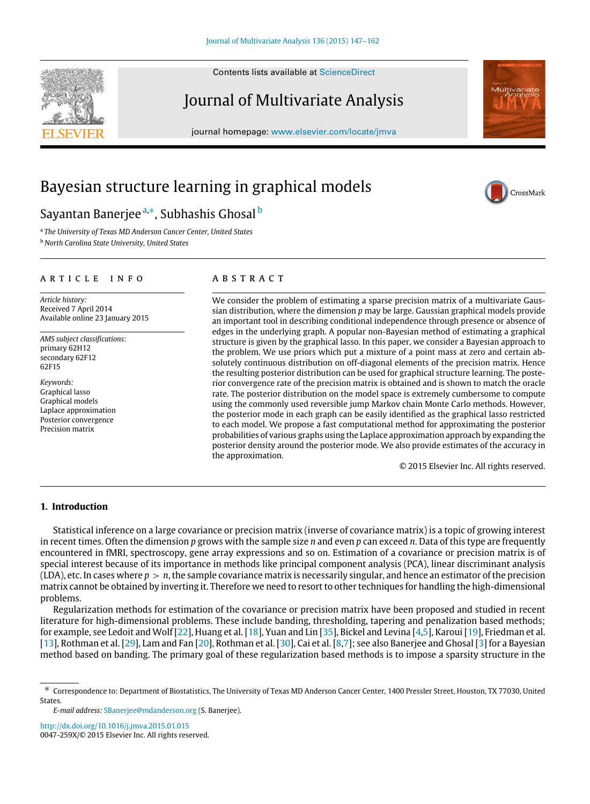Contents lists available at [ScienceDirect](http://www.elsevier.com/locate/jmva)

## Journal of Multivariate Analysis

journal homepage: [www.elsevier.com/locate/jmva](http://www.elsevier.com/locate/jmva)

# Bayesian structure learning in graphical models

### Sayantan Banerjee <sup>[a,](#page-0-0)</sup>\*, Su[b](#page-0-2)hashis Ghosal <sup>b</sup>

<span id="page-0-2"></span><span id="page-0-0"></span>a *The University of Texas MD Anderson Cancer Center, United States* <sup>b</sup> *North Carolina State University, United States*

#### a r t i c l e i n f o

*Article history:* Received 7 April 2014 Available online 23 January 2015

*AMS subject classifications:* primary 62H12 secondary 62F12 62F15

*Keywords:* Graphical lasso Graphical models Laplace approximation Posterior convergence Precision matrix

#### a b s t r a c t

We consider the problem of estimating a sparse precision matrix of a multivariate Gaussian distribution, where the dimension *p* may be large. Gaussian graphical models provide an important tool in describing conditional independence through presence or absence of edges in the underlying graph. A popular non-Bayesian method of estimating a graphical structure is given by the graphical lasso. In this paper, we consider a Bayesian approach to the problem. We use priors which put a mixture of a point mass at zero and certain absolutely continuous distribution on off-diagonal elements of the precision matrix. Hence the resulting posterior distribution can be used for graphical structure learning. The posterior convergence rate of the precision matrix is obtained and is shown to match the oracle rate. The posterior distribution on the model space is extremely cumbersome to compute using the commonly used reversible jump Markov chain Monte Carlo methods. However, the posterior mode in each graph can be easily identified as the graphical lasso restricted to each model. We propose a fast computational method for approximating the posterior probabilities of various graphs using the Laplace approximation approach by expanding the posterior density around the posterior mode. We also provide estimates of the accuracy in the approximation.

© 2015 Elsevier Inc. All rights reserved.

#### **1. Introduction**

Statistical inference on a large covariance or precision matrix (inverse of covariance matrix) is a topic of growing interest in recent times. Often the dimension *p* grows with the sample size *n* and even *p* can exceed *n*. Data of this type are frequently encountered in fMRI, spectroscopy, gene array expressions and so on. Estimation of a covariance or precision matrix is of special interest because of its importance in methods like principal component analysis (PCA), linear discriminant analysis (LDA), etc. In cases where *p* > *n*, the sample covariance matrix is necessarily singular, and hence an estimator of the precision matrix cannot be obtained by inverting it. Therefore we need to resort to other techniques for handling the high-dimensional problems.

Regularization methods for estimation of the covariance or precision matrix have been proposed and studied in recent literature for high-dimensional problems. These include banding, thresholding, tapering and penalization based methods; for example, see Ledoit and Wolf [\[22\]](#page-15-0), Huang et al. [\[18\]](#page-15-1), Yuan and Lin [\[35\]](#page-15-2), Bickel and Levina [\[4,](#page-14-0)[5\]](#page-14-1), Karoui [\[19\]](#page-15-3), Friedman et al. [\[13\]](#page-15-4), Rothman et al. [\[29\]](#page-15-5), Lam and Fan [\[20\]](#page-15-6), Rothman et al. [\[30\]](#page-15-7), Cai et al. [\[8](#page-14-2)[,7\]](#page-14-3); see also Banerjee and Ghosal [\[3\]](#page-14-4) for a Bayesian method based on banding. The primary goal of these regularization based methods is to impose a sparsity structure in the

<http://dx.doi.org/10.1016/j.jmva.2015.01.015> 0047-259X/© 2015 Elsevier Inc. All rights reserved.







<span id="page-0-1"></span><sup>∗</sup> Correspondence to: Department of Biostatistics, The University of Texas MD Anderson Cancer Center, 1400 Pressler Street, Houston, TX 77030, United **States.** 

*E-mail address:* [SBanerjee@mdanderson.org](mailto:SBanerjee@mdanderson.org) (S. Banerjee).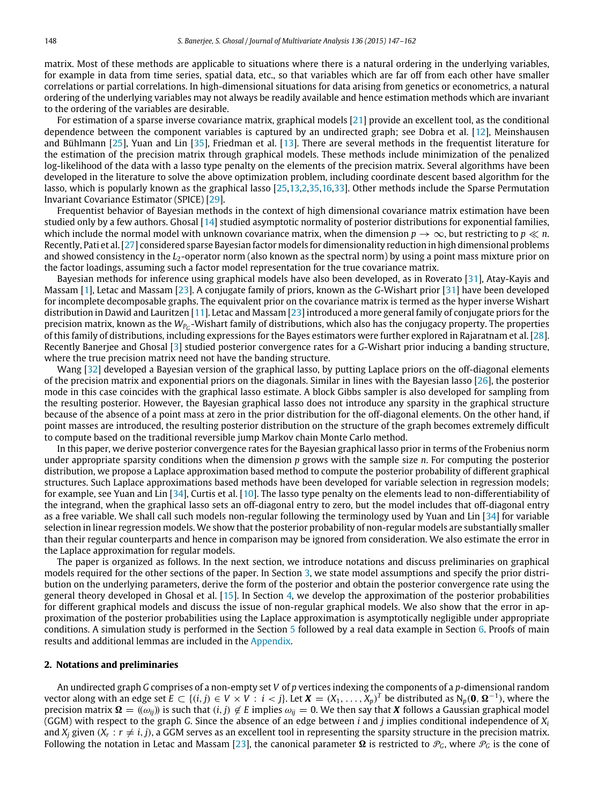matrix. Most of these methods are applicable to situations where there is a natural ordering in the underlying variables, for example in data from time series, spatial data, etc., so that variables which are far off from each other have smaller correlations or partial correlations. In high-dimensional situations for data arising from genetics or econometrics, a natural ordering of the underlying variables may not always be readily available and hence estimation methods which are invariant to the ordering of the variables are desirable.

For estimation of a sparse inverse covariance matrix, graphical models [\[21\]](#page-15-8) provide an excellent tool, as the conditional dependence between the component variables is captured by an undirected graph; see Dobra et al. [\[12\]](#page-15-9), Meinshausen and Bühlmann [\[25\]](#page-15-10), Yuan and Lin [\[35\]](#page-15-2), Friedman et al. [\[13\]](#page-15-4). There are several methods in the frequentist literature for the estimation of the precision matrix through graphical models. These methods include minimization of the penalized log-likelihood of the data with a lasso type penalty on the elements of the precision matrix. Several algorithms have been developed in the literature to solve the above optimization problem, including coordinate descent based algorithm for the lasso, which is popularly known as the graphical lasso [\[25](#page-15-10)[,13,](#page-15-4)[2](#page-14-5)[,35,](#page-15-2)[16](#page-15-11)[,33\]](#page-15-12). Other methods include the Sparse Permutation Invariant Covariance Estimator (SPICE) [\[29\]](#page-15-5).

Frequentist behavior of Bayesian methods in the context of high dimensional covariance matrix estimation have been studied only by a few authors. Ghosal [\[14\]](#page-15-13) studied asymptotic normality of posterior distributions for exponential families, which include the normal model with unknown covariance matrix, when the dimension  $p \to \infty$ , but restricting to  $p \ll n$ . Recently, Pati et al. [\[27\]](#page-15-14) considered sparse Bayesian factor models for dimensionality reduction in high dimensional problems and showed consistency in the *L*<sub>2</sub>-operator norm (also known as the spectral norm) by using a point mass mixture prior on the factor loadings, assuming such a factor model representation for the true covariance matrix.

Bayesian methods for inference using graphical models have also been developed, as in Roverato [\[31\]](#page-15-15), Atay-Kayis and Massam [\[1\]](#page-14-6), Letac and Massam [\[23\]](#page-15-16). A conjugate family of priors, known as the *G*-Wishart prior [\[31\]](#page-15-15) have been developed for incomplete decomposable graphs. The equivalent prior on the covariance matrix is termed as the hyper inverse Wishart distribution in Dawid and Lauritzen [\[11\]](#page-15-17). Letac and Massam [\[23\]](#page-15-16) introduced a more general family of conjugate priors for the precision matrix, known as the W<sub>PG</sub>-Wishart family of distributions, which also has the conjugacy property. The properties of this family of distributions, including expressions for the Bayes estimators were further explored in Rajaratnam et al. [\[28\]](#page-15-18). Recently Banerjee and Ghosal [\[3\]](#page-14-4) studied posterior convergence rates for a *G*-Wishart prior inducing a banding structure, where the true precision matrix need not have the banding structure.

Wang [\[32\]](#page-15-19) developed a Bayesian version of the graphical lasso, by putting Laplace priors on the off-diagonal elements of the precision matrix and exponential priors on the diagonals. Similar in lines with the Bayesian lasso [\[26\]](#page-15-20), the posterior mode in this case coincides with the graphical lasso estimate. A block Gibbs sampler is also developed for sampling from the resulting posterior. However, the Bayesian graphical lasso does not introduce any sparsity in the graphical structure because of the absence of a point mass at zero in the prior distribution for the off-diagonal elements. On the other hand, if point masses are introduced, the resulting posterior distribution on the structure of the graph becomes extremely difficult to compute based on the traditional reversible jump Markov chain Monte Carlo method.

In this paper, we derive posterior convergence rates for the Bayesian graphical lasso prior in terms of the Frobenius norm under appropriate sparsity conditions when the dimension *p* grows with the sample size *n*. For computing the posterior distribution, we propose a Laplace approximation based method to compute the posterior probability of different graphical structures. Such Laplace approximations based methods have been developed for variable selection in regression models; for example, see Yuan and Lin [\[34\]](#page-15-21), Curtis et al. [\[10\]](#page-15-22). The lasso type penalty on the elements lead to non-differentiability of the integrand, when the graphical lasso sets an off-diagonal entry to zero, but the model includes that off-diagonal entry as a free variable. We shall call such models non-regular following the terminology used by Yuan and Lin [\[34\]](#page-15-21) for variable selection in linear regression models. We show that the posterior probability of non-regular models are substantially smaller than their regular counterparts and hence in comparison may be ignored from consideration. We also estimate the error in the Laplace approximation for regular models.

The paper is organized as follows. In the next section, we introduce notations and discuss preliminaries on graphical models required for the other sections of the paper. In Section [3,](#page-2-0) we state model assumptions and specify the prior distribution on the underlying parameters, derive the form of the posterior and obtain the posterior convergence rate using the general theory developed in Ghosal et al. [\[15\]](#page-15-23). In Section [4,](#page-4-0) we develop the approximation of the posterior probabilities for different graphical models and discuss the issue of non-regular graphical models. We also show that the error in approximation of the posterior probabilities using the Laplace approximation is asymptotically negligible under appropriate conditions. A simulation study is performed in the Section [5](#page-7-0) followed by a real data example in Section [6.](#page-7-1) Proofs of main results and additional lemmas are included in the [Appendix.](#page-10-0)

#### **2. Notations and preliminaries**

An undirected graph *G* comprises of a non-empty set *V* of *p* vertices indexing the components of a *p*-dimensional random vector along with an edge set  $E \subset \{(i,j) \in V \times V : i < j\}$ . Let  $X = (X_1, \ldots, X_p)^T$  be distributed as  $N_p(\mathbf{0}, \mathbf{\Omega}^{-1})$ , where the precision matrix  $\Omega = (\omega_{ij})$  is such that  $(i, j) \notin E$  implies  $\omega_{ij} = 0$ . We then say that *X* follows a Gaussian graphical model (GGM) with respect to the graph *G*. Since the absence of an edge between *i* and *j* implies conditional independence of *X<sup>i</sup>* and  $X_j$  given  $(X_r : r \neq i, j)$ , a GGM serves as an excellent tool in representing the sparsity structure in the precision matrix. Following the notation in Letac and Massam [\[23\]](#page-15-16), the canonical parameter  $\Omega$  is restricted to  $\mathcal{P}_G$ , where  $\mathcal{P}_G$  is the cone of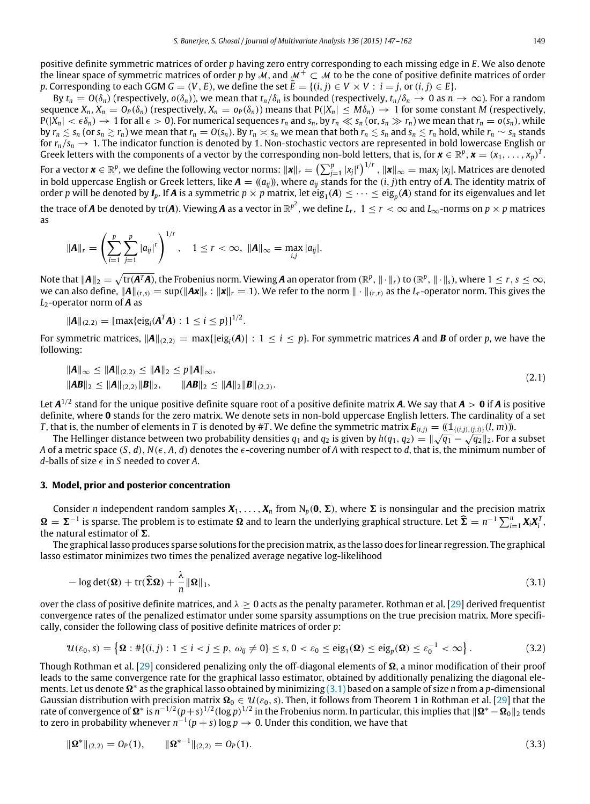positive definite symmetric matrices of order *p* having zero entry corresponding to each missing edge in *E*. We also denote the linear space of symmetric matrices of order *p* by M, and  $\mathcal{M}^+ \subset \mathcal{M}$  to be the cone of positive definite matrices of order *p*. Corresponding to each GGM  $G = (V, E)$ , we define the set  $\overline{E} = \{(i, j) \in V \times V : i = j$ , or  $(i, j) \in E\}$ .

By  $t_n = O(\delta_n)$  (respectively,  $o(\delta_n)$ ), we mean that  $t_n/\delta_n$  is bounded (respectively,  $t_n/\delta_n \to 0$  as  $n \to \infty$ ). For a random sequence  $X_n$ ,  $X_n = O_P(\delta_n)$  (respectively,  $X_n = o_P(\delta_n)$ ) means that  $P(|X_n| \le M\delta_n) \to 1$  for some constant M (respectively,  $P(|X_n| < \epsilon \delta_n) \to 1$  for all  $\epsilon > 0$ ). For numerical sequences  $r_n$  and  $s_n$ , by  $r_n \ll s_n$  (or,  $s_n \gg r_n$ ) we mean that  $r_n = o(s_n)$ , while by  $r_n \leq s_n$  (or  $s_n \geq r_n$ ) we mean that  $r_n = O(s_n)$ . By  $r_n \gg s_n$  we mean that both  $r_n \leq s_n$  and  $s_n \leq r_n$  hold, while  $r_n \sim s_n$  stands for  $r_n/s_n \to 1$ . The indicator function is denoted by 1. Non-stochastic vectors are represented in bold lowercase English or Greek letters with the components of a vector by the corresponding non-bold letters, that is, for  $\mathbf{x} \in \mathbb{R}^p$ ,  $\mathbf{x} = (x_1, \ldots, x_p)^T$ . For a vector  $\mathbf{x} \in \mathbb{R}^p$ , we define the following vector norms:  $\|\mathbf{x}\|_r = \left(\sum_{j=1}^p |x_j|^r\right)^{1/r}$ ,  $\|\mathbf{x}\|_{\infty} = \max_j |x_j|$ . Matrices are denoted in bold uppercase English or Greek letters, like  $A = ((a_{ij}))$ , where  $a_{ij}$  stands for the  $(i, j)$ th entry of *A*. The identity matrix of order *p* will be denoted by  $I_p$ . If  $A$  is a symmetric  $p \times p$  matrix, let  $\text{eig}_1(A) \leq \cdots \leq \text{eig}_p(A)$  stand for its eigenvalues and let the trace of  $A$  be denoted by tr( $A$ ). Viewing  $A$  as a vector in  $\mathbb{R}^{p^2}$ , we define  $L_r$ ,  $1 \le r < \infty$  and  $L_\infty$ -norms on  $p \times p$  matrices as

$$
\|\bm{A}\|_{r} = \left(\sum_{i=1}^{p} \sum_{j=1}^{p} |a_{ij}|^{r}\right)^{1/r}, \quad 1 \leq r < \infty, \ \|\bm{A}\|_{\infty} = \max_{i,j} |a_{ij}|.
$$

Note that  $\|\boldsymbol{A}\|_2 = \sqrt{\text{tr}(\boldsymbol{A}^T\boldsymbol{A})}$ , the Frobenius norm. Viewing  $\boldsymbol{A}$  an operator from  $(\mathbb{R}^p, \|\cdot\|_r)$  to  $(\mathbb{R}^p, \|\cdot\|_s)$ , where  $1 \le r, s \le \infty$ , we can also define,  $||A||_{(r,s)} = \sup(||A\mathbf{x}||_s : ||\mathbf{x}||_r = 1)$ . We refer to the norm  $|| \cdot ||_{(r,r)}$  as the *L*<sub>*r*</sub>-operator norm. This gives the *L*2-operator norm of *A* as

$$
\|\mathbf{A}\|_{(2,2)} = [\max\{\text{eig}_i(\mathbf{A}^T\mathbf{A}) : 1 \leq i \leq p\}]^{1/2}.
$$

For symmetric matrices, <sup>∥</sup>*A*∥(2,2) <sup>=</sup> max{|eig*<sup>i</sup>* (*A*)| : <sup>1</sup> <sup>≤</sup> *<sup>i</sup>* <sup>≤</sup> *<sup>p</sup>*}. For symmetric matrices *<sup>A</sup>* and *<sup>B</sup>* of order *<sup>p</sup>*, we have the following:

<span id="page-2-3"></span>
$$
\begin{aligned} \|A\|_{\infty} &\le \|A\|_{(2,2)} \le \|A\|_{2} \le p\|A\|_{\infty}, \\ \|AB\|_{2} &\le \|A\|_{(2,2)} \|B\|_{2}, \qquad \|AB\|_{2} \le \|A\|_{2} \|B\|_{(2,2)}. \end{aligned} \tag{2.1}
$$

Let *A* 1/2 stand for the unique positive definite square root of a positive definite matrix *A*. We say that *A* > **0** if *A* is positive definite, where **0** stands for the zero matrix. We denote sets in non-bold uppercase English letters. The cardinality of a set *T*, that is, the number of elements in *T* is denoted by #*T*. We define the symmetric matrix  $E_{(i,j)} = ((1_{((i,j),(j,j)})(l,m))$ .

The Hellinger distance between two probability densities  $q_1$  and  $q_2$  is given by  $h(q_1, q_2) = ||\sqrt{q_1} - \sqrt{q_2}||_2$ . For a subset *A* of a metric space  $(S, d)$ ,  $N(\epsilon, A, d)$  denotes the  $\epsilon$ -covering number of *A* with respect to *d*, that is, the minimum number of *d*-balls of size  $\epsilon$  in *S* needed to cover *A*.

#### <span id="page-2-0"></span>**3. Model, prior and posterior concentration**

Consider *n* independent random samples  $X_1, \ldots, X_n$  from  $N_p(0, \Sigma)$ , where  $\Sigma$  is nonsingular and the precision matrix  $Ω = Σ<sup>-1</sup>$  is sparse. The problem is to estimate Ω and to learn the underlying graphical structure. Let  $\widehat{Σ} = n<sup>-1</sup> ∑<sup>n</sup><sub>i=1</sub> X<sub>i</sub> X<sub>i</sub><sup>T</sup>$ , the natural estimator of  $\Sigma$ .

The graphical lasso produces sparse solutions for the precision matrix, as the lasso does for linear regression. The graphical lasso estimator minimizes two times the penalized average negative log-likelihood

<span id="page-2-1"></span>
$$
-\log \det(\Omega) + \text{tr}(\widehat{\Sigma}\Omega) + \frac{\lambda}{n} \|\Omega\|_1, \tag{3.1}
$$

over the class of positive definite matrices, and  $\lambda \geq 0$  acts as the penalty parameter. Rothman et al. [\[29\]](#page-15-5) derived frequentist convergence rates of the penalized estimator under some sparsity assumptions on the true precision matrix. More specifically, consider the following class of positive definite matrices of order *p*:

<span id="page-2-2"></span>
$$
\mathcal{U}(\varepsilon_0, s) = \left\{ \Omega : # \{ (i, j) : 1 \le i < j \le p, \ \omega_{ij} \neq 0 \} \le s, 0 < \varepsilon_0 \le \text{eig}_1(\Omega) \le \text{eig}_p(\Omega) \le \varepsilon_0^{-1} < \infty \right\}.
$$
 (3.2)

Though Rothman et al. [\[29\]](#page-15-5) considered penalizing only the off-diagonal elements of  $\Omega$ , a minor modification of their proof leads to the same convergence rate for the graphical lasso estimator, obtained by additionally penalizing the diagonal ele-ments. Let us denote Ω<sup>\*</sup> as the graphical lasso obtained by minimizing [\(3.1\)](#page-2-1) based on a sample of size *n* from a *p*-dimensional Gaussian distribution with precision matrix  $\Omega_0 \in \mathcal{U}(\varepsilon_0, s)$ . Then, it follows from Theorem 1 in Rothman et al. [\[29\]](#page-15-5) that the rate of convergence of  $\Omega^*$  is  $n^{-1/2}(p+s)^{1/2}$  (log  $p)^{1/2}$  in the Frobenius norm. In particular, this implies that  $\|\Omega^* - \Omega_0\|_2$  tends to zero in probability whenever  $n^{-1}(p + s) \log p \to 0$ . Under this condition, we have that

<span id="page-2-4"></span>
$$
\|\mathbf{\Omega}^*\|_{(2,2)} = O_P(1), \qquad \|\mathbf{\Omega}^{*-1}\|_{(2,2)} = O_P(1). \tag{3.3}
$$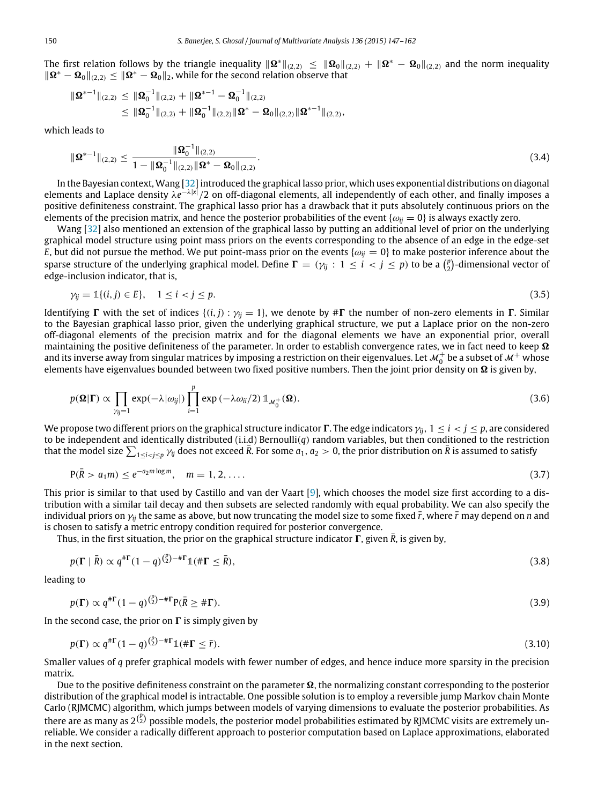The first relation follows by the triangle inequality  $\|\mathbf{\Omega}^*\|_{(2,2)} \leq \|\mathbf{\Omega}_0\|_{(2,2)} + \|\mathbf{\Omega}^* - \mathbf{\Omega}_0\|_{(2,2)}$  and the norm inequality  $||\mathbf{\Omega}^* - \mathbf{\Omega}_0||_{(2,2)} \le ||\mathbf{\Omega}^* - \mathbf{\Omega}_0||_2$ , while for the second relation observe that

$$
\begin{aligned} \|\Omega^{*-1}\|_{(2,2)} & \leq \|\Omega_0^{-1}\|_{(2,2)} + \|\Omega^{*-1}-\Omega_0^{-1}\|_{(2,2)} \\ & \leq \|\Omega_0^{-1}\|_{(2,2)} + \|\Omega_0^{-1}\|_{(2,2)} \|\Omega^*-\Omega_0\|_{(2,2)} \|\Omega^{*-1}\|_{(2,2)}, \end{aligned}
$$

which leads to

$$
\|\mathbf{\Omega}^{*-1}\|_{(2,2)} \le \frac{\|\mathbf{\Omega}_0^{-1}\|_{(2,2)}}{1 - \|\mathbf{\Omega}_0^{-1}\|_{(2,2)} \|\mathbf{\Omega}^* - \mathbf{\Omega}_0\|_{(2,2)}}.
$$
\n(3.4)

In the Bayesian context, Wang [\[32\]](#page-15-19) introduced the graphical lasso prior, which uses exponential distributions on diagonal elements and Laplace density  $\lambda e^{-\lambda|x|}/2$  on off-diagonal elements, all independently of each other, and finally imposes a positive definiteness constraint. The graphical lasso prior has a drawback that it puts absolutely continuous priors on the elements of the precision matrix, and hence the posterior probabilities of the event  $\{\omega_{ij} = 0\}$  is always exactly zero.

Wang [\[32\]](#page-15-19) also mentioned an extension of the graphical lasso by putting an additional level of prior on the underlying graphical model structure using point mass priors on the events corresponding to the absence of an edge in the edge-set *E*, but did not pursue the method. We put point-mass prior on the events { $\omega_{ij} = 0$ } to make posterior inference about the sparse structure of the underlying graphical model. Define  $\Gamma = (\gamma_{ij} : 1 \le i < j \le p)$  to be a  $\binom{p}{2}$ -dimensional vector of edge-inclusion indicator, that is,

$$
\gamma_{ij} = \mathbb{1}\{(i,j) \in E\}, \quad 1 \le i < j \le p. \tag{3.5}
$$

Identifying  $\Gamma$  with the set of indices  $\{(i, j) : \gamma_{ij} = 1\}$ , we denote by # $\Gamma$  the number of non-zero elements in  $\Gamma$ . Similar to the Bayesian graphical lasso prior, given the underlying graphical structure, we put a Laplace prior on the non-zero off-diagonal elements of the precision matrix and for the diagonal elements we have an exponential prior, overall maintaining the positive definiteness of the parameter. In order to establish convergence rates, we in fact need to keep  $\Omega$ and its inverse away from singular matrices by imposing a restriction on their eigenvalues. Let  $\mathcal{M}_0^+$  be a subset of  $\mathcal{M}^+$  whose elements have eigenvalues bounded between two fixed positive numbers. Then the joint prior density on  $\Omega$  is given by,

<span id="page-3-2"></span>
$$
p(\mathbf{\Omega}|\mathbf{\Gamma}) \propto \prod_{\gamma_{ij}=1} \exp(-\lambda |\omega_{ij}|) \prod_{i=1}^{p} \exp(-\lambda \omega_{ii}/2) \mathbb{1}_{\mathcal{M}_0^+}(\mathbf{\Omega}).
$$
\n(3.6)

We propose two different priors on the graphical structure indicator  $\Gamma$ . The edge indicators  $\gamma_{ii}$ ,  $1 \le i \le j \le p$ , are considered to be independent and identically distributed (i.i.d) Bernoulli(*q*) random variables, but then conditioned to the restriction that the model size  $\sum_{1 \le i < j \le p} \gamma_{ij}$  does not exceed  $\bar{R}$ . For some  $a_1, a_2 > 0$ , the prior distribution on  $\bar{R}$  is assumed to satisfy

$$
P(\bar{R} > a_1 m) \le e^{-a_2 m \log m}, \quad m = 1, 2, .... \tag{3.7}
$$

This prior is similar to that used by Castillo and van der Vaart [\[9\]](#page-15-24), which chooses the model size first according to a distribution with a similar tail decay and then subsets are selected randomly with equal probability. We can also specify the individual priors on  $\gamma_{ii}$  the same as above, but now truncating the model size to some fixed  $\bar{r}$ , where  $\bar{r}$  may depend on *n* and is chosen to satisfy a metric entropy condition required for posterior convergence.

Thus, in the first situation, the prior on the graphical structure indicator  $\Gamma$ , given *R*, is given by,

$$
p(\Gamma \mid \bar{R}) \propto q^{\# \Gamma} (1 - q)^{\binom{p}{2} - \# \Gamma} \mathbb{1}(\# \Gamma \leq \bar{R}),\tag{3.8}
$$

leading to

$$
p(\Gamma) \propto q^{\# \Gamma} (1 - q)^{\binom{p}{2} - \# \Gamma} p(\bar{R} \ge \# \Gamma). \tag{3.9}
$$

In the second case, the prior on  $\Gamma$  is simply given by

<span id="page-3-1"></span><span id="page-3-0"></span>
$$
p(\Gamma) \propto q^{\# \Gamma} (1 - q)^{\binom{p}{2} - \# \Gamma} \mathbb{1}(\# \Gamma \leq \bar{r}). \tag{3.10}
$$

Smaller values of *q* prefer graphical models with fewer number of edges, and hence induce more sparsity in the precision matrix.

Due to the positive definiteness constraint on the parameter  $\Omega$ , the normalizing constant corresponding to the posterior distribution of the graphical model is intractable. One possible solution is to employ a reversible jump Markov chain Monte Carlo (RJMCMC) algorithm, which jumps between models of varying dimensions to evaluate the posterior probabilities. As there are as many as  $2^{p \choose 2}$  possible models, the posterior model probabilities estimated by RJMCMC visits are extremely unreliable. We consider a radically different approach to posterior computation based on Laplace approximations, elaborated in the next section.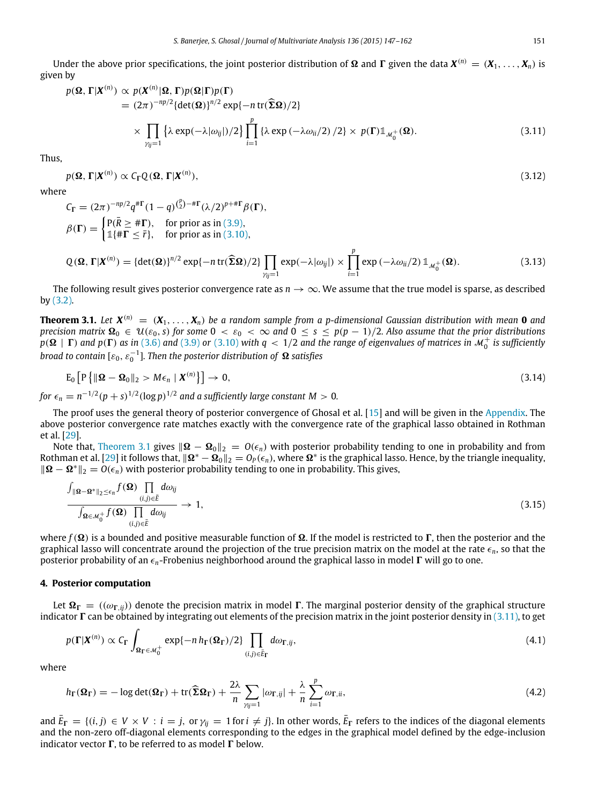<span id="page-4-4"></span><span id="page-4-2"></span>

Under the above prior specifications, the joint posterior distribution of  $\Omega$  and  $\Gamma$  given the data  $X^{(n)} = (X_1, \ldots, X_n)$  is given by

$$
p(\mathbf{\Omega}, \Gamma | \mathbf{X}^{(n)}) \propto p(\mathbf{X}^{(n)} | \mathbf{\Omega}, \Gamma) p(\mathbf{\Omega} | \Gamma) p(\Gamma)
$$
  
=  $(2\pi)^{-np/2} {\det(\mathbf{\Omega})}^{n/2} \exp{-n \operatorname{tr}(\widehat{\Sigma}\mathbf{\Omega})/2}$   

$$
\times \prod_{\gamma_{ij}=1} {\lambda \exp(-\lambda |\omega_{ij}|)/2} \prod_{i=1}^{p} {\lambda \exp(-\lambda \omega_{ii}/2) /2} \times p(\Gamma) \mathbb{1}_{\mathcal{M}_{0}^{+}}(\mathbf{\Omega}).
$$
 (3.11)

Thus,

$$
p(\mathbf{\Omega}, \Gamma | \mathbf{X}^{(n)}) \propto C_{\Gamma} Q(\mathbf{\Omega}, \Gamma | \mathbf{X}^{(n)}),
$$
\n(3.12)

where

$$
C_{\Gamma} = (2\pi)^{-np/2} q^{\# \Gamma} (1-q)^{{p \choose 2} - \# \Gamma} (\lambda/2)^{p+\# \Gamma} \beta(\Gamma),
$$
  
\n
$$
\beta(\Gamma) = \begin{cases} P(\overline{R} \ge \# \Gamma), & \text{for prior as in (3.9),} \\ \mathbb{1} \{ \# \Gamma \le \overline{r} \}, & \text{for prior as in (3.10),} \end{cases}
$$

$$
Q(\mathbf{\Omega}, \Gamma | \mathbf{X}^{(n)}) = {\det(\mathbf{\Omega})\}^{n/2} \exp\{-n \operatorname{tr}(\widehat{\boldsymbol{\Sigma}} \mathbf{\Omega})/2\} \prod_{\gamma_{ij}=1} \exp(-\lambda |\omega_{ij}|) \times \prod_{i=1}^{p} \exp(-\lambda \omega_{ii}/2) \mathbb{1}_{\mathcal{M}_{0}^{+}}(\mathbf{\Omega}).
$$
\n(3.13)

The following result gives posterior convergence rate as  $n \to \infty$ . We assume that the true model is sparse, as described by [\(3.2\).](#page-2-2)

<span id="page-4-1"></span>**Theorem 3.1.** Let  $X^{(n)} = (X_1, \ldots, X_n)$  be a random sample from a p-dimensional Gaussian distribution with mean **0** and *precision matrix*  $\Omega_0 \in \mathcal{U}(\varepsilon_0, s)$  *for some*  $0 < \varepsilon_0 < \infty$  *and*  $0 \le s \le p(p-1)/2$ *. Also assume that the prior distributions*  $p(\mathbf{\Omega} \mid \mathbf{\Gamma})$  and  $p(\mathbf{\Gamma})$  as in [\(3.6\)](#page-3-2) and [\(3.9\)](#page-3-0) or [\(3.10\)](#page-3-1) with  $q < 1/2$  and the range of eigenvalues of matrices in  $\mathcal{M}_0^+$  is sufficiently *broad to contain* [ $\varepsilon_0$ ,  $\varepsilon_0^{-1}$ ]. Then the posterior distribution of  $\Omega$  satisfies

$$
E_0 \left[ P \left\{ \|\mathbf{\Omega} - \mathbf{\Omega}_0\|_2 > M \epsilon_n \mid \boldsymbol{X}^{(n)} \right\} \right] \to 0, \tag{3.14}
$$

for  $\epsilon_n = n^{-1/2} (p + s)^{1/2} (\log p)^{1/2}$  and a sufficiently large constant  $M > 0$ .

The proof uses the general theory of posterior convergence of Ghosal et al. [\[15\]](#page-15-23) and will be given in the [Appendix.](#page-10-0) The above posterior convergence rate matches exactly with the convergence rate of the graphical lasso obtained in Rothman et al. [\[29\]](#page-15-5).

Note that, [Theorem 3.1](#page-4-1) gives  $||\mathbf{\Omega} - \mathbf{\Omega}_0||_2 = O(\epsilon_n)$  with posterior probability tending to one in probability and from Rothman et al. [\[29\]](#page-15-5) it follows that,  $\|\mathbf{\Omega}^* - \mathbf{\Omega}_0\|_2 = O_P(\epsilon_n)$ , where  $\mathbf{\Omega}^*$  is the graphical lasso. Hence, by the triangle inequality,  $\|\mathbf{\Omega} - \mathbf{\Omega}^*\|_2 = O(\epsilon_n)$  with posterior probability tending to one in probability. This gives,

$$
\frac{\int_{\|\mathbf{\Omega}-\mathbf{\Omega}^*\|_2 \leq \epsilon_n} f(\mathbf{\Omega}) \prod_{(i,j)\in \bar{E}} d\omega_{ij}}{\int_{\mathbf{\Omega}\in \mathcal{M}_0^+} f(\mathbf{\Omega}) \prod_{(i,j)\in \bar{E}} d\omega_{ij}} \to 1,
$$
\n(3.15)

where  $f(\Omega)$  is a bounded and positive measurable function of  $\Omega$ . If the model is restricted to  $\Gamma$ , then the posterior and the graphical lasso will concentrate around the projection of the true precision matrix on the model at the rate  $\epsilon_n$ , so that the posterior probability of an  $\epsilon_n$ -Frobenius neighborhood around the graphical lasso in model Γ will go to one.

#### <span id="page-4-0"></span>**4. Posterior computation**

Let  $\Omega_{\Gamma} = ((\omega_{\Gamma,ii}))$  denote the precision matrix in model  $\Gamma$ . The marginal posterior density of the graphical structure indicator  $\Gamma$  can be obtained by integrating out elements of the precision matrix in the joint posterior density in [\(3.11\),](#page-4-2) to get

<span id="page-4-3"></span>
$$
p(\Gamma|\boldsymbol{X}^{(n)}) \propto C_{\Gamma} \int_{\Omega_{\Gamma} \in \mathcal{M}_0^+} \exp\{-n \, h_{\Gamma}(\Omega_{\Gamma})/2\} \prod_{(i,j) \in \bar{E}_{\Gamma}} d\omega_{\Gamma,ij},\tag{4.1}
$$

where

<span id="page-4-5"></span>
$$
h_{\Gamma}(\Omega_{\Gamma}) = -\log \det(\Omega_{\Gamma}) + \text{tr}(\widehat{\Sigma}\Omega_{\Gamma}) + \frac{2\lambda}{n} \sum_{\gamma_{ij}=1} |\omega_{\Gamma,ij}| + \frac{\lambda}{n} \sum_{i=1}^{p} \omega_{\Gamma,ii},
$$
(4.2)

and  $E_{\Gamma} = \{(i, j) \in V \times V : i = j, \text{ or } \gamma_{ij} = 1 \text{ for } i \neq j\}$ . In other words,  $E_{\Gamma}$  refers to the indices of the diagonal elements and the non-zero off-diagonal elements corresponding to the edges in the graphical model defined by the edge-inclusion indicator vector  $\Gamma$ , to be referred to as model  $\Gamma$  below.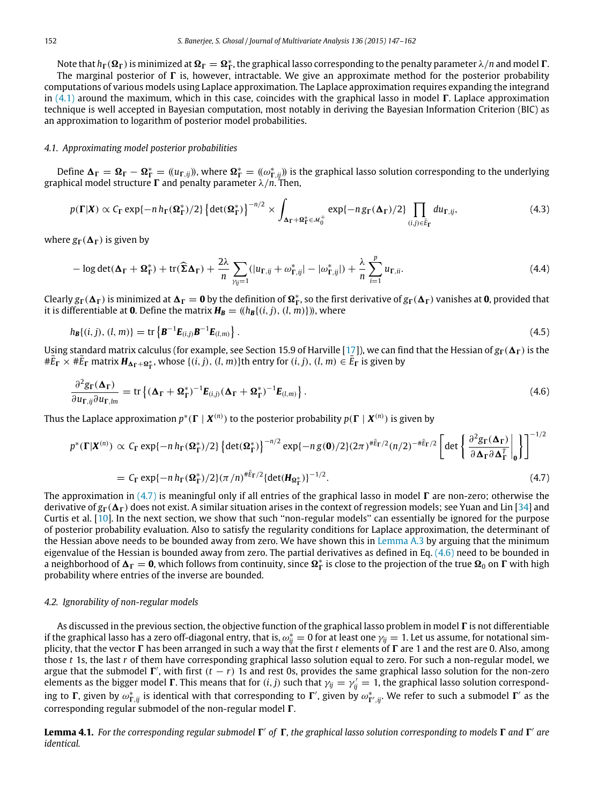Note that  $h_{\Gamma}(\Omega_{\Gamma})$  is minimized at  $\Omega_{\Gamma} = \Omega_{\Gamma}^{*}$ , the graphical lasso corresponding to the penalty parameter  $\lambda/n$  and model  $\Gamma$ . The marginal posterior of  $\Gamma$  is, however, intractable. We give an approximate method for the posterior probability computations of various models using Laplace approximation. The Laplace approximation requires expanding the integrand in [\(4.1\)](#page-4-3) around the maximum, which in this case, coincides with the graphical lasso in model  $\Gamma$ . Laplace approximation technique is well accepted in Bayesian computation, most notably in deriving the Bayesian Information Criterion (BIC) as an approximation to logarithm of posterior model probabilities.

#### *4.1. Approximating model posterior probabilities*

Define  $\Delta_{\Gamma} = \Omega_{\Gamma} - \Omega_{\Gamma}^* = ((u_{\Gamma, ij})$ , where  $\Omega_{\Gamma}^* = ((\omega_{\Gamma, ij}^*)^*)$  is the graphical lasso solution corresponding to the underlying graphical model structure  $\Gamma$  and penalty parameter  $\lambda/n$ . Then,

$$
p(\Gamma|\boldsymbol{X}) \propto C_{\Gamma} \exp\{-n h_{\Gamma}(\Omega_{\Gamma}^{*})/2\} \left\{ \det(\Omega_{\Gamma}^{*}) \right\}^{-n/2} \times \int_{\Delta_{\Gamma} + \Omega_{\Gamma}^{*} \in \mathcal{M}_{0}^{+}} \exp\{-n g_{\Gamma}(\Delta_{\Gamma})/2\} \prod_{(i,j) \in \bar{E}_{\Gamma}} du_{\Gamma,ij}, \tag{4.3}
$$

where  $g_{\Gamma}(\Delta_{\Gamma})$  is given by

<span id="page-5-2"></span>
$$
-\log \det(\mathbf{\Delta}_{\Gamma} + \mathbf{\Omega}_{\Gamma}^*) + \text{tr}(\widehat{\boldsymbol{\Sigma}}\mathbf{\Delta}_{\Gamma}) + \frac{2\lambda}{n} \sum_{\gamma_{ij}=1} (|u_{\Gamma,ij} + \omega_{\Gamma,ij}^*| - |\omega_{\Gamma,ij}^*|) + \frac{\lambda}{n} \sum_{i=1}^p u_{\Gamma,ii}.
$$
 (4.4)

Clearly  $g_{\Gamma}(\Delta_{\Gamma})$  is minimized at  $\Delta_{\Gamma} = 0$  by the definition of  $\Omega_{\Gamma}^{*}$ , so the first derivative of  $g_{\Gamma}(\Delta_{\Gamma})$  vanishes at **0**, provided that it is differentiable at **0**. Define the matrix  $H_B = (\langle h_B \{(i, j), (l, m)\}\rangle)$ , where

$$
h_{\mathbf{B}}\{(i,j),(l,m)\} = \text{tr}\left\{\mathbf{B}^{-1}\mathbf{E}_{(i,j)}\mathbf{B}^{-1}\mathbf{E}_{(l,m)}\right\}.
$$
\n(4.5)

Using standard matrix calculus (for example, see Section 15.9 of Harville [\[17\]](#page-15-25)), we can find that the Hessian of  $g_\Gamma(\Delta_\Gamma)$  is the  $#E_{\Gamma} \times #E_{\Gamma}$  matrix  $H_{\Delta_{\Gamma} + \Omega_{\Gamma}^{*}}$ , whose  $\{(i, j), (l, m)\}$ th entry for  $(i, j), (l, m) \in E_{\Gamma}$  is given by

<span id="page-5-1"></span>
$$
\frac{\partial^2 g_{\Gamma}(\mathbf{\Delta}_{\Gamma})}{\partial u_{\Gamma,ij}\partial u_{\Gamma,lm}} = \text{tr}\left\{ (\mathbf{\Delta}_{\Gamma} + \mathbf{\Omega}_{\Gamma}^*)^{-1} \mathbf{E}_{(i,j)} (\mathbf{\Delta}_{\Gamma} + \mathbf{\Omega}_{\Gamma}^*)^{-1} \mathbf{E}_{(l,m)} \right\}. \tag{4.6}
$$

Thus the Laplace approximation  $p^*(\Gamma | X^{(n)})$  to the posterior probability  $p(\Gamma | X^{(n)})$  is given by

<span id="page-5-0"></span>
$$
p^*(\Gamma|\mathbf{X}^{(n)}) \propto C_{\Gamma} \exp\{-n h_{\Gamma}(\Omega_{\Gamma}^*)/2\} \left\{ \det(\Omega_{\Gamma}^*) \right\}^{-n/2} \exp\{-n g(\mathbf{0})/2\} (2\pi)^{\#\bar{E}_{\Gamma}/2} (n/2)^{-\#\bar{E}_{\Gamma}/2} \left[ \det \left\{ \frac{\partial^2 g_{\Gamma}(\mathbf{\Delta}_{\Gamma})}{\partial \mathbf{\Delta}_{\Gamma} \partial \mathbf{\Delta}_{\Gamma}^T} \Big|_{\mathbf{0}} \right\} \right]^{-1/2}
$$
  
=  $C_{\Gamma} \exp\{-n h_{\Gamma}(\Omega_{\Gamma}^*)/2\} (\pi/n)^{\#\bar{E}_{\Gamma}/2} \left\{ \det(\mathbf{H}_{\Omega_{\Gamma}^*}) \right\}^{-1/2}.$  (4.7)

The approximation in  $(4.7)$  is meaningful only if all entries of the graphical lasso in model  $\Gamma$  are non-zero; otherwise the derivative of  $g_{\Gamma}(\Delta_{\Gamma})$  does not exist. A similar situation arises in the context of regression models; see Yuan and Lin [\[34\]](#page-15-21) and Curtis et al. [\[10\]](#page-15-22). In the next section, we show that such ''non-regular models'' can essentially be ignored for the purpose of posterior probability evaluation. Also to satisfy the regularity conditions for Laplace approximation, the determinant of the Hessian above needs to be bounded away from zero. We have shown this in [Lemma A.3](#page-14-7) by arguing that the minimum eigenvalue of the Hessian is bounded away from zero. The partial derivatives as defined in Eq.  $(4.6)$  need to be bounded in a neighborhood of  $\Delta_{\Gamma} = 0$ , which follows from continuity, since  $\Omega_{\Gamma}^*$  is close to the projection of the true  $\Omega_0$  on  $\Gamma$  with high probability where entries of the inverse are bounded.

#### *4.2. Ignorability of non-regular models*

As discussed in the previous section, the objective function of the graphical lasso problem in model  $\Gamma$  is not differentiable if the graphical lasso has a zero off-diagonal entry, that is,  $\omega_{ij}^* = 0$  for at least one  $\gamma_{ij} = 1$ . Let us assume, for notational simplicity, that the vector  $\Gamma$  has been arranged in such a way that the first *t* elements of  $\Gamma$  are 1 and the rest are 0. Also, among those *t* 1s, the last *r* of them have corresponding graphical lasso solution equal to zero. For such a non-regular model, we argue that the submodel  $\Gamma'$ , with first  $(t - r)$  1s and rest 0s, provides the same graphical lasso solution for the non-zero elements as the bigger model  $\Gamma$ . This means that for  $(i, j)$  such that  $\gamma_{ij} = \gamma'_{ij} = 1$ , the graphical lasso solution corresponding to  $\Gamma$ , given by  $\omega_{\Gamma, ij}^*$  is identical with that corresponding to  $\Gamma'$ , given by  $\omega_{\Gamma', ij}^*.$  We refer to such a submodel  $\Gamma'$  as the corresponding regular submodel of the non-regular model  $\Gamma$ .

Lemma 4.1. For the corresponding regular submodel  $\Gamma'$  of  $\Gamma$ , the graphical lasso solution corresponding to models  $\Gamma$  and  $\Gamma'$  are *identical.*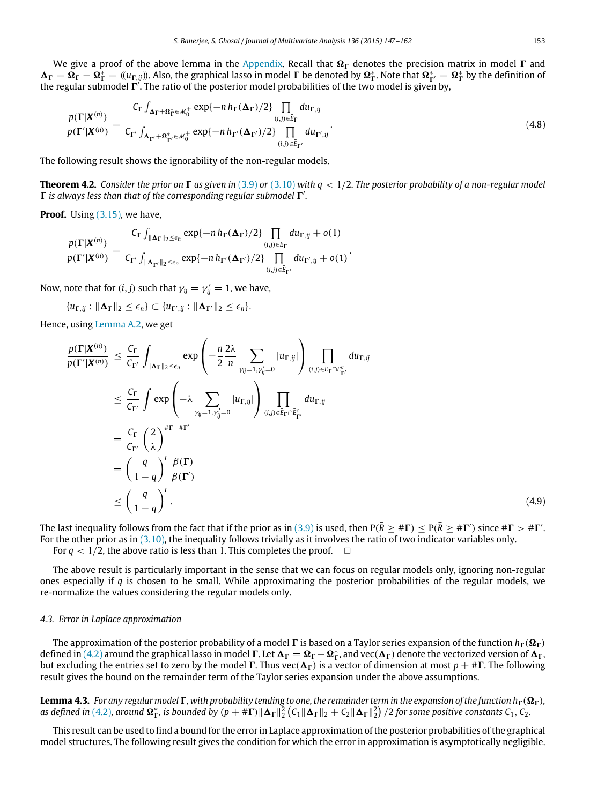We give a proof of the above lemma in the [Appendix.](#page-10-0) Recall that  $\Omega_{\Gamma}$  denotes the precision matrix in model  $\Gamma$  and  $\Delta_{\Gamma} = \Omega_{\Gamma} - \Omega_{\Gamma}^* = ((u_{\Gamma, ij})$ . Also, the graphical lasso in model  $\Gamma$  be denoted by  $\Omega_{\Gamma}^*$ . Note that  $\Omega_{\Gamma'}^* = \Omega_{\Gamma}^*$  by the definition of the regular submodel  $\Gamma'$ . The ratio of the posterior model probabilities of the two model is given by,

$$
\frac{p(\Gamma|\boldsymbol{X}^{(n)})}{p(\Gamma'|\boldsymbol{X}^{(n)})} = \frac{C_{\Gamma} \int_{\boldsymbol{\Delta}_{\Gamma} + \boldsymbol{\Omega}_{\Gamma}^{*} \in \mathcal{M}_{0}^{+}} \exp\{-n h_{\Gamma}(\boldsymbol{\Delta}_{\Gamma})/2\} \prod_{(i,j) \in \bar{E}_{\Gamma}} du_{\Gamma,ij}}{C_{\Gamma'} \int_{\boldsymbol{\Delta}_{\Gamma'} + \boldsymbol{\Omega}_{\Gamma'}^{*} \in \mathcal{M}_{0}^{+}} \exp\{-n h_{\Gamma'}(\boldsymbol{\Delta}_{\Gamma'})/2\} \prod_{(i,j) \in \bar{E}_{\Gamma'}} du_{\Gamma',ij}}.
$$
\n(4.8)

The following result shows the ignorability of the non-regular models.

**Theorem 4.2.** Consider the prior on  $\Gamma$  as given in [\(3.9\)](#page-3-0) or [\(3.10\)](#page-3-1) with  $q < 1/2$ . The posterior probability of a non-regular model  $\Gamma$  is always less than that of the corresponding regular submodel  $\Gamma'$ .

**Proof.** Using [\(3.15\),](#page-4-4) we have,

$$
\frac{p(\Gamma|X^{(n)})}{p(\Gamma'|X^{(n)})} = \frac{C_{\Gamma}\int_{\|\mathbf{\Delta}_{\Gamma}\|_2 \leq \epsilon_n} \exp\{-n\,h_{\Gamma}(\mathbf{\Delta}_{\Gamma})/2\}\prod_{(i,j)\in \bar{E}_{\Gamma}} du_{\Gamma,ij} + o(1)}{C_{\Gamma'}\int_{\|\mathbf{\Delta}_{\Gamma'}\|_2 \leq \epsilon_n} \exp\{-n\,h_{\Gamma'}(\mathbf{\Delta}_{\Gamma'})/2\}\prod_{(i,j)\in \bar{E}_{\Gamma'}} du_{\Gamma',ij} + o(1)}.
$$

Now, note that for  $(i, j)$  such that  $\gamma_{ij} = \gamma'_{ij} = 1$ , we have,

 ${u_{\Gamma, jj}: \|\mathbf{\Delta}_{\Gamma}\|_2 \leq \epsilon_n} \subset {u_{\Gamma', jj}: \|\mathbf{\Delta}_{\Gamma'}\|_2 \leq \epsilon_n}.$ 

Hence, using [Lemma A.2,](#page-12-0) we get

$$
\frac{p(\mathbf{\Gamma}|\mathbf{X}^{(n)})}{p(\mathbf{\Gamma}'|\mathbf{X}^{(n)})} \leq \frac{C_{\mathbf{\Gamma}}}{C_{\mathbf{\Gamma}'}} \int_{\|\mathbf{\Delta}_{\mathbf{\Gamma}}\|_{2} \leq \epsilon_{n}} \exp\left(-\frac{n}{2} \frac{2\lambda}{n} \sum_{\gamma_{ij}=1,\gamma'_{ij}=0} |u_{\mathbf{\Gamma},ij}| \right) \prod_{(i,j)\in \bar{E}_{\mathbf{\Gamma}} \cap \bar{E}_{\mathbf{\Gamma}'}^{c}} du_{\mathbf{\Gamma},ij}
$$
\n
$$
\leq \frac{C_{\mathbf{\Gamma}}}{C_{\mathbf{\Gamma}'}} \int \exp\left(-\lambda \sum_{\gamma_{ij}=1,\gamma'_{ij}=0} |u_{\mathbf{\Gamma},ij}| \right) \prod_{(i,j)\in \bar{E}_{\mathbf{\Gamma}} \cap \bar{E}_{\mathbf{\Gamma}'}^{c}} du_{\mathbf{\Gamma},ij}
$$
\n
$$
= \frac{C_{\mathbf{\Gamma}}}{C_{\mathbf{\Gamma}'} \left(\frac{2}{\lambda}\right)^{\# \mathbf{\Gamma} - \# \mathbf{\Gamma}'}} = \frac{C_{\mathbf{\Gamma}}}{C_{\mathbf{\Gamma}'} \left(\frac{2}{\lambda}\right)^{\# \mathbf{\Gamma} - \# \mathbf{\Gamma}'}} \mathcal{B}(\mathbf{\Gamma})
$$
\n
$$
\leq \left(\frac{q}{1-q}\right)^{r} \frac{\beta(\mathbf{\Gamma})}{\beta(\mathbf{\Gamma}')}.
$$
\n
$$
(4.9)
$$

The last inequality follows from the fact that if the prior as in [\(3.9\)](#page-3-0) is used, then  $P(\bar{R} \geq #\Gamma) \leq P(\bar{R} \geq #\Gamma')$  since  $# \Gamma > # \Gamma'$ . For the other prior as in [\(3.10\),](#page-3-1) the inequality follows trivially as it involves the ratio of two indicator variables only. For  $q < 1/2$ , the above ratio is less than 1. This completes the proof.  $\Box$ 

The above result is particularly important in the sense that we can focus on regular models only, ignoring non-regular ones especially if *q* is chosen to be small. While approximating the posterior probabilities of the regular models, we re-normalize the values considering the regular models only.

#### *4.3. Error in Laplace approximation*

The approximation of the posterior probability of a model  $\Gamma$  is based on a Taylor series expansion of the function  $h_{\Gamma}(\Omega_{\Gamma})$ defined in [\(4.2\)](#page-4-5) around the graphical lasso in model  $\Gamma$ . Let  $\Delta_{\Gamma} = \Omega_{\Gamma} - \Omega_{\Gamma}^{*}$ , and vec $(\Delta_{\Gamma})$  denote the vectorized version of  $\Delta_{\Gamma}$ , but excluding the entries set to zero by the model  $\Gamma$ . Thus vec( $\Delta_{\Gamma}$ ) is a vector of dimension at most  $p + # \Gamma$ . The following result gives the bound on the remainder term of the Taylor series expansion under the above assumptions.

<span id="page-6-0"></span>**Lemma 4.3.** *For any regular model*  $\Gamma$ *, with probability tending to one, the remainder term in the expansion of the function h*<sub> $\Gamma$ </sub>( $\Omega$ <sub> $\Gamma$ </sub>)*,* as defined in [\(4.2\)](#page-4-5), around  $\Omega_{\Gamma}^*$ , is bounded by  $(p + \#\Gamma) \|\Delta_{\Gamma}\|_2^2 (C_1 \|\Delta_{\Gamma}\|_2 + C_2 \|\Delta_{\Gamma}\|_2^2)$  /2 for some positive constants  $C_1, C_2$ .

This result can be used to find a bound for the error in Laplace approximation of the posterior probabilities of the graphical model structures. The following result gives the condition for which the error in approximation is asymptotically negligible.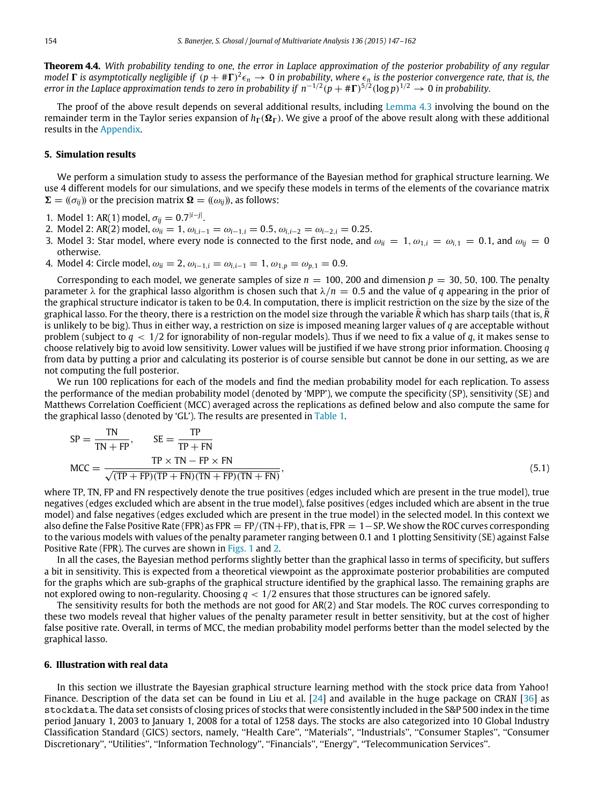**Theorem 4.4.** *With probability tending to one, the error in Laplace approximation of the posterior probability of any regular model*  $\Gamma$  *is asymptotically negligible if*  $(p + #\Gamma)^2 \epsilon_n \to 0$  *in probability, where*  $\epsilon_n$  *is the posterior convergence rate, that is, the error in the Laplace approximation tends to zero in probability if*  $n^{-1/2}(p+\# \Gamma)^{5/2}(\log p)^{1/2} \to 0$  *in probability.* 

The proof of the above result depends on several additional results, including [Lemma 4.3](#page-6-0) involving the bound on the remainder term in the Taylor series expansion of  $h_r(\Omega_r)$ . We give a proof of the above result along with these additional results in the [Appendix.](#page-10-0)

#### <span id="page-7-0"></span>**5. Simulation results**

We perform a simulation study to assess the performance of the Bayesian method for graphical structure learning. We use 4 different models for our simulations, and we specify these models in terms of the elements of the covariance matrix  $\Sigma = ((\sigma_{ii})$  or the precision matrix  $\Omega = ((\omega_{ii})$ , as follows:

- 1. Model 1: AR(1) model,  $\sigma_{ij} = 0.7^{|i-j|}$ .
- 2. Model 2: AR(2) model,  $\omega_{ii} = 1$ ,  $\omega_{i,i-1} = \omega_{i-1,i} = 0.5$ ,  $\omega_{i,i-2} = \omega_{i-2,i} = 0.25$ .
- 3. Model 3: Star model, where every node is connected to the first node, and  $\omega_{ii} = 1$ ,  $\omega_{1,i} = \omega_{i,1} = 0.1$ , and  $\omega_{ii} = 0$ otherwise.
- 4. Model 4: Circle model,  $\omega_{ii} = 2$ ,  $\omega_{i-1,i} = \omega_{i,i-1} = 1$ ,  $\omega_{1,p} = \omega_{p,1} = 0.9$ .

Corresponding to each model, we generate samples of size  $n = 100$ , 200 and dimension  $p = 30$ , 50, 100. The penalty parameter  $\lambda$  for the graphical lasso algorithm is chosen such that  $\lambda/n = 0.5$  and the value of *q* appearing in the prior of the graphical structure indicator is taken to be 0.4. In computation, there is implicit restriction on the size by the size of the graphical lasso. For the theory, there is a restriction on the model size through the variable  $\bar{R}$  which has sharp tails (that is,  $\bar{R}$ is unlikely to be big). Thus in either way, a restriction on size is imposed meaning larger values of *q* are acceptable without problem (subject to *q* < 1/2 for ignorability of non-regular models). Thus if we need to fix a value of *q*, it makes sense to choose relatively big to avoid low sensitivity. Lower values will be justified if we have strong prior information. Choosing *q* from data by putting a prior and calculating its posterior is of course sensible but cannot be done in our setting, as we are not computing the full posterior.

We run 100 replications for each of the models and find the median probability model for each replication. To assess the performance of the median probability model (denoted by 'MPP'), we compute the specificity (SP), sensitivity (SE) and Matthews Correlation Coefficient (MCC) averaged across the replications as defined below and also compute the same for the graphical lasso (denoted by 'GL'). The results are presented in [Table 1.](#page-8-0)

$$
SP = \frac{TN}{TN + FP}, \qquad SE = \frac{TP}{TP + FN}
$$
  
MCC = 
$$
\frac{TP \times TN - FP \times FN}{\sqrt{(TP + FP)(TP + FN)(TN + FP)(TN + FN)}},
$$
 (5.1)

where TP, TN, FP and FN respectively denote the true positives (edges included which are present in the true model), true negatives (edges excluded which are absent in the true model), false positives (edges included which are absent in the true model) and false negatives (edges excluded which are present in the true model) in the selected model. In this context we also define the False Positive Rate (FPR) as FPR = FP/(TN+FP), that is, FPR =  $1$  – SP. We show the ROC curves corresponding to the various models with values of the penalty parameter ranging between 0.1 and 1 plotting Sensitivity (SE) against False Positive Rate (FPR). The curves are shown in [Figs. 1](#page-8-1) and [2.](#page-9-0)

In all the cases, the Bayesian method performs slightly better than the graphical lasso in terms of specificity, but suffers a bit in sensitivity. This is expected from a theoretical viewpoint as the approximate posterior probabilities are computed for the graphs which are sub-graphs of the graphical structure identified by the graphical lasso. The remaining graphs are not explored owing to non-regularity. Choosing *q* < 1/2 ensures that those structures can be ignored safely.

The sensitivity results for both the methods are not good for AR(2) and Star models. The ROC curves corresponding to these two models reveal that higher values of the penalty parameter result in better sensitivity, but at the cost of higher false positive rate. Overall, in terms of MCC, the median probability model performs better than the model selected by the graphical lasso.

#### <span id="page-7-1"></span>**6. Illustration with real data**

In this section we illustrate the Bayesian graphical structure learning method with the stock price data from Yahoo! Finance. Description of the data set can be found in Liu et al. [\[24\]](#page-15-26) and available in the huge package on CRAN [\[36\]](#page-15-27) as stockdata. The data set consists of closing prices of stocks that were consistently included in the S&P 500 index in the time period January 1, 2003 to January 1, 2008 for a total of 1258 days. The stocks are also categorized into 10 Global Industry Classification Standard (GICS) sectors, namely, ''Health Care'', ''Materials'', ''Industrials'', ''Consumer Staples'', ''Consumer Discretionary'', ''Utilities'', ''Information Technology'', ''Financials'', ''Energy'', ''Telecommunication Services''.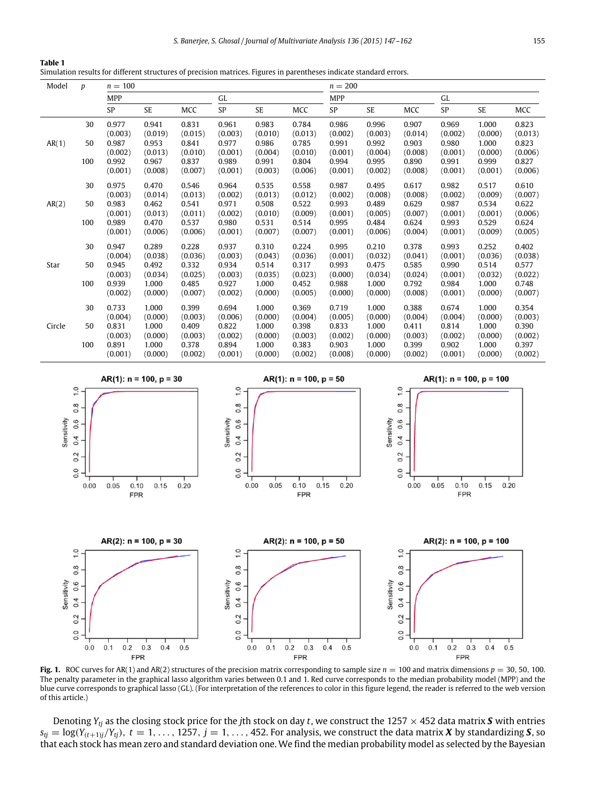| S. Baneriee. S. Ghosal / Journal of Multivariate Analysis 136 (2015) 147–162 | 155 |
|------------------------------------------------------------------------------|-----|
|------------------------------------------------------------------------------|-----|

<span id="page-8-0"></span>

| Table 1                                                                                                             |  |  |
|---------------------------------------------------------------------------------------------------------------------|--|--|
| Simulation results for different structures of precision matrices. Figures in parentheses indicate standard errors. |  |  |

| Model  | $\boldsymbol{p}$ | $n = 100$  |           |         |         |         | $n = 200$  |         |           |         |         |         |         |
|--------|------------------|------------|-----------|---------|---------|---------|------------|---------|-----------|---------|---------|---------|---------|
|        |                  | <b>MPP</b> |           |         | GL      |         | <b>MPP</b> |         |           | GL      |         |         |         |
|        |                  | SP         | <b>SE</b> | MCC     | SP      | SE      | MCC        | SP      | <b>SE</b> | MCC     | SP      | SE      | MCC     |
|        | 30               | 0.977      | 0.941     | 0.831   | 0.961   | 0.983   | 0.784      | 0.986   | 0.996     | 0.907   | 0.969   | 1.000   | 0.823   |
|        |                  | (0.003)    | (0.019)   | (0.015) | (0.003) | (0.010) | (0.013)    | (0.002) | (0.003)   | (0.014) | (0.002) | (0.000) | (0.013) |
| AR(1)  | 50               | 0.987      | 0.953     | 0.841   | 0.977   | 0.986   | 0.785      | 0.991   | 0.992     | 0.903   | 0.980   | 1.000   | 0.823   |
|        |                  | (0.002)    | (0.013)   | (0.010) | (0.001) | (0.004) | (0.010)    | (0.001) | (0.004)   | (0.008) | (0.001) | (0.000) | (0.006) |
|        | 100              | 0.992      | 0.967     | 0.837   | 0.989   | 0.991   | 0.804      | 0.994   | 0.995     | 0.890   | 0.991   | 0.999   | 0.827   |
|        |                  | (0.001)    | (0.008)   | (0.007) | (0.001) | (0.003) | (0.006)    | (0.001) | (0.002)   | (0.008) | (0.001) | (0.001) | (0.006) |
|        | 30               | 0.975      | 0.470     | 0.546   | 0.964   | 0.535   | 0.558      | 0.987   | 0.495     | 0.617   | 0.982   | 0.517   | 0.610   |
|        |                  | (0.003)    | (0.014)   | (0.013) | (0.002) | (0.013) | (0.012)    | (0.002) | (0.008)   | (0.008) | (0.002) | (0.009) | (0.007) |
| AR(2)  | 50               | 0.983      | 0.462     | 0.541   | 0.971   | 0.508   | 0.522      | 0.993   | 0.489     | 0.629   | 0.987   | 0.534   | 0.622   |
|        |                  | (0.001)    | (0.013)   | (0.011) | (0.002) | (0.010) | (0.009)    | (0.001) | (0.005)   | (0.007) | (0.001) | (0.001) | (0.006) |
|        | 100              | 0.989      | 0.470     | 0.537   | 0.980   | 0.531   | 0.514      | 0.995   | 0.484     | 0.624   | 0.993   | 0.529   | 0.624   |
|        |                  | (0.001)    | (0.006)   | (0.006) | (0.001) | (0.007) | (0.007)    | (0.001) | (0.006)   | (0.004) | (0.001) | (0.009) | (0.005) |
|        | 30               | 0.947      | 0.289     | 0.228   | 0.937   | 0.310   | 0.224      | 0.995   | 0.210     | 0.378   | 0.993   | 0.252   | 0.402   |
|        |                  | (0.004)    | (0.038)   | (0.036) | (0.003) | (0.043) | (0.036)    | (0.001) | (0.032)   | (0.041) | (0.001) | (0.036) | (0.038) |
| Star   | 50               | 0.945      | 0.492     | 0.332   | 0.934   | 0.514   | 0.317      | 0.993   | 0.475     | 0.585   | 0.990   | 0.514   | 0.577   |
|        |                  | (0.003)    | (0.034)   | (0.025) | (0.003) | (0.035) | (0.023)    | (0.000) | (0.034)   | (0.024) | (0.001) | (0.032) | (0.022) |
|        | 100              | 0.939      | 1.000     | 0.485   | 0.927   | 1.000   | 0.452      | 0.988   | 1.000     | 0.792   | 0.984   | 1.000   | 0.748   |
|        |                  | (0.002)    | (0.000)   | (0.007) | (0.002) | (0.000) | (0.005)    | (0.000) | (0.000)   | (0.008) | (0.001) | (0.000) | (0.007) |
|        | 30               | 0.733      | 1.000     | 0.399   | 0.694   | 1.000   | 0.369      | 0.719   | 1.000     | 0.388   | 0.674   | 1.000   | 0.354   |
|        |                  | (0.004)    | (0.000)   | (0.003) | (0.006) | (0.000) | (0.004)    | (0.005) | (0.000)   | (0.004) | (0.004) | (0.000) | (0.003) |
| Circle | 50               | 0.831      | 1.000     | 0.409   | 0.822   | 1.000   | 0.398      | 0.833   | 1.000     | 0.411   | 0.814   | 1.000   | 0.390   |
|        |                  | (0.003)    | (0.000)   | (0.003) | (0.002) | (0.000) | (0.003)    | (0.002) | (0.000)   | (0.003) | (0.002) | (0.000) | (0.002) |
|        | 100              | 0.891      | 1.000     | 0.378   | 0.894   | 1.000   | 0.383      | 0.903   | 1.000     | 0.399   | 0.902   | 1.000   | 0.397   |
|        |                  | (0.001)    | (0.000)   | (0.002) | (0.001) | (0.000) | (0.002)    | (0.008) | (0.000)   | (0.002) | (0.001) | (0.000) | (0.002) |
|        |                  |            |           |         |         |         |            |         |           |         |         |         |         |

<span id="page-8-1"></span>

**Fig. 1.** ROC curves for AR(1) and AR(2) structures of the precision matrix corresponding to sample size  $n = 100$  and matrix dimensions  $p = 30, 50, 100$ . The penalty parameter in the graphical lasso algorithm varies between 0.1 and 1. Red curve corresponds to the median probability model (MPP) and the blue curve corresponds to graphical lasso (GL). (For interpretation of the references to color in this figure legend, the reader is referred to the web version of this article.)

FPR

 $0.0$  $0.1$  $0.2$  $0.3$  $0.4$  $0.5$ 

FPR

 $0.0\,$  $0.1$  $0.2$  $0.3\,$  $0.4$  $0.5$ 

 $0.0\,$  $0.1$  $0.2$  $0.3$  $0.4$  $0.5$ 

**FPR** 

Denoting  $Y_{tj}$  as the closing stock price for the *j*th stock on day *t*, we construct the 1257  $\times$  452 data matrix **S** with entries  $s_{tj} = \log(Y_{(t+1)j}/Y_{tj})$ ,  $t = 1, \ldots, 1257$ ,  $j = 1, \ldots, 452$ . For analysis, we construct the data matrix *X* by standardizing *S*, so that each stock has mean zero and standard deviation one. We find the median probability model as selected by the Bayesian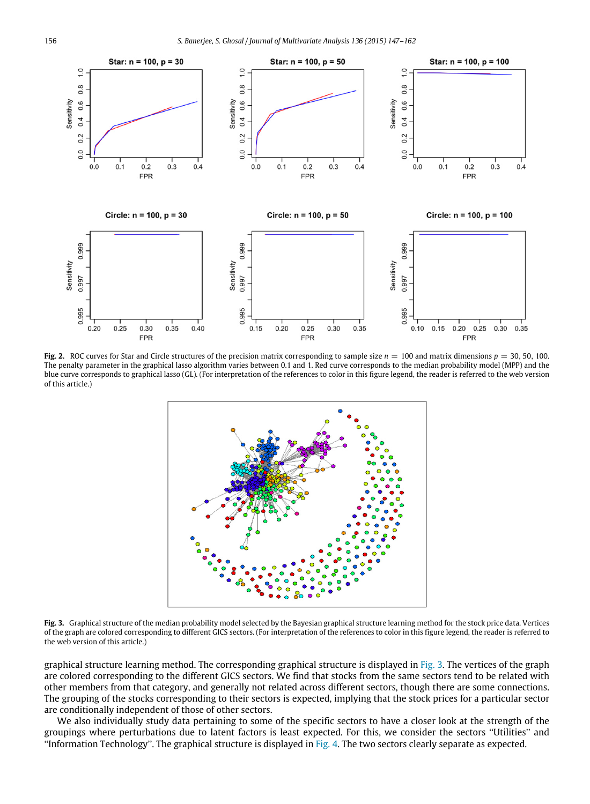<span id="page-9-0"></span>

<span id="page-9-1"></span>**Fig. 2.** ROC curves for Star and Circle structures of the precision matrix corresponding to sample size  $n = 100$  and matrix dimensions  $p = 30, 50, 100$ . The penalty parameter in the graphical lasso algorithm varies between 0.1 and 1. Red curve corresponds to the median probability model (MPP) and the blue curve corresponds to graphical lasso (GL). (For interpretation of the references to color in this figure legend, the reader is referred to the web version of this article.)



**Fig. 3.** Graphical structure of the median probability model selected by the Bayesian graphical structure learning method for the stock price data. Vertices of the graph are colored corresponding to different GICS sectors. (For interpretation of the references to color in this figure legend, the reader is referred to the web version of this article.)

graphical structure learning method. The corresponding graphical structure is displayed in [Fig. 3.](#page-9-1) The vertices of the graph are colored corresponding to the different GICS sectors. We find that stocks from the same sectors tend to be related with other members from that category, and generally not related across different sectors, though there are some connections. The grouping of the stocks corresponding to their sectors is expected, implying that the stock prices for a particular sector are conditionally independent of those of other sectors.

We also individually study data pertaining to some of the specific sectors to have a closer look at the strength of the groupings where perturbations due to latent factors is least expected. For this, we consider the sectors ''Utilities'' and ''Information Technology''. The graphical structure is displayed in [Fig. 4.](#page-10-1) The two sectors clearly separate as expected.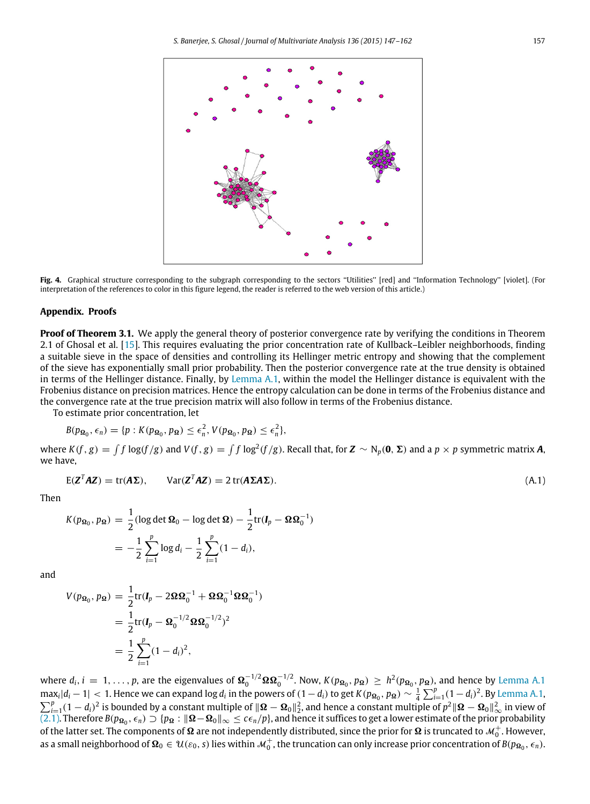<span id="page-10-1"></span>

**Fig. 4.** Graphical structure corresponding to the subgraph corresponding to the sectors ''Utilities'' [red] and ''Information Technology'' [violet]. (For interpretation of the references to color in this figure legend, the reader is referred to the web version of this article.)

#### <span id="page-10-0"></span>**Appendix. Proofs**

**Proof of Theorem 3.1.** We apply the general theory of posterior convergence rate by verifying the conditions in Theorem 2.1 of Ghosal et al. [\[15\]](#page-15-23). This requires evaluating the prior concentration rate of Kullback–Leibler neighborhoods, finding a suitable sieve in the space of densities and controlling its Hellinger metric entropy and showing that the complement of the sieve has exponentially small prior probability. Then the posterior convergence rate at the true density is obtained in terms of the Hellinger distance. Finally, by [Lemma A.1,](#page-11-0) within the model the Hellinger distance is equivalent with the Frobenius distance on precision matrices. Hence the entropy calculation can be done in terms of the Frobenius distance and the convergence rate at the true precision matrix will also follow in terms of the Frobenius distance.

To estimate prior concentration, let

$$
B(p_{\Omega_0}, \epsilon_n) = \{p : K(p_{\Omega_0}, p_{\Omega}) \le \epsilon_n^2, V(p_{\Omega_0}, p_{\Omega}) \le \epsilon_n^2\},\
$$

where  $K(f, g) = \int f \log(f/g)$  and  $V(f, g) = \int f \log^2(f/g)$ . Recall that, for  $\mathbf{Z} \sim N_p(\mathbf{0}, \Sigma)$  and a  $p \times p$  symmetric matrix **A**, we have,

$$
E(ZTAZ) = tr(A\Sigma), \qquad Var(ZTAZ) = 2 tr(A\Sigma A\Sigma).
$$
\n(A.1)

Then

$$
K(p_{\Omega_0}, p_{\Omega}) = \frac{1}{2} (\log \det \Omega_0 - \log \det \Omega) - \frac{1}{2} \text{tr}(I_p - \Omega \Omega_0^{-1})
$$
  
= 
$$
-\frac{1}{2} \sum_{i=1}^p \log d_i - \frac{1}{2} \sum_{i=1}^p (1 - d_i),
$$

and

$$
V(p_{\Omega_0}, p_{\Omega}) = \frac{1}{2} \text{tr}(\mathbf{I}_p - 2\Omega \Omega_0^{-1} + \Omega \Omega_0^{-1} \Omega \Omega_0^{-1})
$$
  
=  $\frac{1}{2} \text{tr}(\mathbf{I}_p - \Omega_0^{-1/2} \Omega \Omega_0^{-1/2})^2$   
=  $\frac{1}{2} \sum_{i=1}^p (1 - d_i)^2$ ,

where  $d_i$ ,  $i = 1, \ldots, p$ , are the eigenvalues of  $\Omega_0^{-1/2} \Omega \Omega_0^{-1/2}$ . Now,  $K(p_{\Omega_0}, p_{\Omega}) \geq h^2(p_{\Omega_0}, p_{\Omega})$ , and hence by [Lemma A.1](#page-11-0)  $\max_i |d_i - 1|$  < 1. Hence we can expand log  $d_i$  in the powers of  $(1 - d_i)$  to get  $K(p_{\Omega_0}, p_{\Omega}) \sim \frac{1}{4} \sum_{i=1}^p (1 - d_i)^2$ . By [Lemma A.1,](#page-11-0)  $\sum_{i=1}^{p} (1-d_i)^2$  is bounded by a constant multiple of  $\|\mathbf{\Omega} - \mathbf{\Omega}_0\|_2^2$ , and hence a constant multiple of  $p^2 \|\mathbf{\Omega} - \mathbf{\Omega}_0\|_{\infty}^2$  in view of [\(2.1\).](#page-2-3) Therefore  $B(p_{\mathbf{\Omega}_0}, \epsilon_n) \supset \{p_{\mathbf{\Omega}} : \|\mathbf{\Omega} - \mathbf{\Omega}_0\|_{\$ as a small neighborhood of  $\Omega_0 \in \mathcal{U}(\varepsilon_0,s)$  lies within  $\mathcal{M}_0^+$ , the truncation can only increase prior concentration of  $B(p_{\Omega_0},\epsilon_n)$ .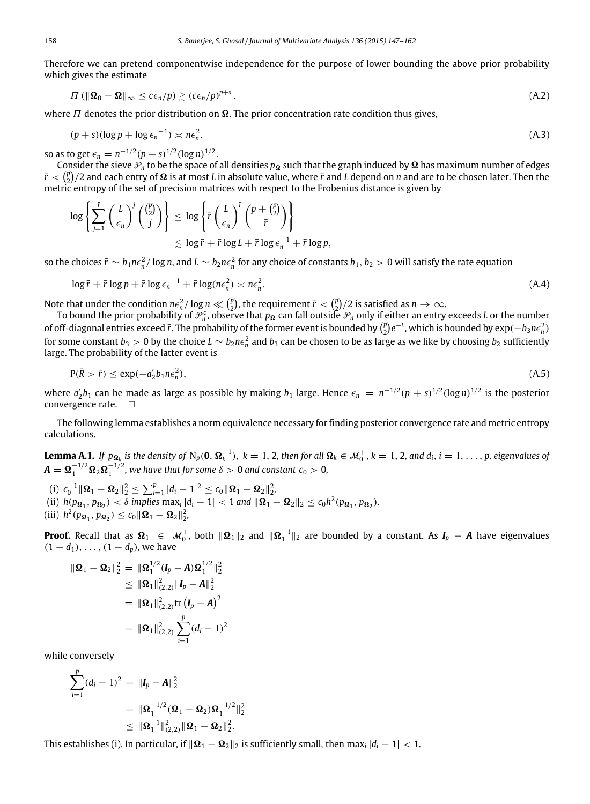Therefore we can pretend componentwise independence for the purpose of lower bounding the above prior probability which gives the estimate

$$
\Pi \left( \|\mathbf{\Omega}_0 - \mathbf{\Omega}\|_{\infty} \leq c\epsilon_n / p \right) \gtrsim \left( c\epsilon_n / p \right)^{p+s},\tag{A.2}
$$

where  $\Pi$  denotes the prior distribution on  $\Omega$ . The prior concentration rate condition thus gives,

$$
(p+s)(\log p + \log \epsilon_n^{-1}) \asymp n\epsilon_n^2, \tag{A.3}
$$

so as to get  $\epsilon_n = n^{-1/2} (p+s)^{1/2} (\log n)^{1/2}$ .

Consider the sieve  $\mathcal{P}_n$  to be the space of all densities  $p_\Omega$  such that the graph induced by  $\Omega$  has maximum number of edges  $\bar{r}$  <  $\binom{p}{2}/2$  and each entry of  $\Omega$  is at most *L* in absolute value, where  $\bar{r}$  and *L* depend on *n* and are to be chosen later. Then the metric entropy of the set of precision matrices with respect to the Frobenius distance is given by

$$
\log \left\{ \sum_{j=1}^{\bar{r}} \left( \frac{L}{\epsilon_n} \right)^j \left( \frac{\binom{p}{2}}{j} \right) \right\} \leq \log \left\{ \bar{r} \left( \frac{L}{\epsilon_n} \right)^{\bar{r}} \left( \frac{p + \binom{p}{2}}{\bar{r}} \right) \right\} \leq \log \bar{r} + \bar{r} \log L + \bar{r} \log \epsilon_n^{-1} + \bar{r} \log p,
$$

so the choices  $\bar{r}\sim b_1n\epsilon_n^2/\log n$ , and  $L\sim b_2n\epsilon_n^2$  for any choice of constants  $b_1, b_2>0$  will satisfy the rate equation

$$
\log \bar{r} + \bar{r} \log p + \bar{r} \log \epsilon_n^{-1} + \bar{r} \log (n \epsilon_n^2) \asymp n \epsilon_n^2. \tag{A.4}
$$

Note that under the condition  $n\epsilon_n^2/\log n \ll \binom{p}{2}$ , the requirement  $\bar{r} < \binom{p}{2}/2$  is satisfied as  $n \to \infty$ .

To bound the prior probability of  $\mathcal{P}_n^c$ , observe that  $p_{\Omega}$  can fall outside  $\mathcal{P}_n$  only if either an entry exceeds *L* or the number of off-diagonal entries exceed  $\bar{r}$ . The probability of the former event is bounded by  $\binom{p}{2}e^{-L}$ , which is bounded by  $\exp(-b_3n\epsilon_n^2)$ for some constant  $b_3 > 0$  by the choice  $L \sim b_2 n \epsilon_n^2$  and  $b_3$  can be chosen to be as large as we like by choosing  $b_2$  sufficiently large. The probability of the latter event is

$$
P(\bar{R} > \bar{r}) \le \exp(-a_2'b_1 n \epsilon_n^2),\tag{A.5}
$$

where  $a'_2b_1$  can be made as large as possible by making  $b_1$  large. Hence  $\epsilon_n = n^{-1/2}(p+s)^{1/2}(\log n)^{1/2}$  is the posterior convergence rate.  $\square$ 

The following lemma establishes a norm equivalence necessary for finding posterior convergence rate and metric entropy calculations.

<span id="page-11-0"></span>**Lemma A.1.** If  $p_{\mathbf{Q}_k}$  is the density of  $N_p(\mathbf{0}, \mathbf{\Omega}_k^{-1})$ ,  $k = 1, 2$ , then for all  $\mathbf{\Omega}_k \in \mathcal{M}_0^+$ ,  $k = 1, 2$ , and  $d_i$ ,  $i = 1, \ldots, p$ , eigenvalues of  $A = \Omega_1^{-1/2} \Omega_2 \Omega_1^{-1/2}$ , we have that for some  $\delta > 0$  and constant  $c_0 > 0$ ,

 $\sum_{i=1}^{p} ||\mathbf{\Omega}_1 - \mathbf{\Omega}_2||_2^2 \le \sum_{i=1}^{p} |d_i - 1|^2 \le c_0 \|\mathbf{\Omega}_1 - \mathbf{\Omega}_2||_2^2,$ (ii)  $h(p_{\Omega_1}, p_{\Omega_2}) < \delta$  *implies* max<sub>*i*</sub>  $|d_i - 1| < 1$  and  $\|\Omega_1 - \Omega_2\|_2 \le c_0 h^2(p_{\Omega_1}, p_{\Omega_2})$ ,  $(iii)$   $h^2(p_{\Omega_1}, p_{\Omega_2}) \le c_0 \|\Omega_1 - \Omega_2\|_2^2$ ,

**Proof.** Recall that as  $\Omega_1 \in \mathcal{M}_0^+$ , both  $\|\Omega_1\|_2$  and  $\|\Omega_1^{-1}\|_2$  are bounded by a constant. As  $I_p - A$  have eigenvalues  $(1 - d_1), \ldots, (1 - d_p)$ , we have

$$
\|\Omega_1 - \Omega_2\|_2^2 = \|\Omega_1^{1/2} (I_p - A)\Omega_1^{1/2}\|_2^2
$$
  
\n
$$
\leq \|\Omega_1\|_{(2,2)}^2 \|I_p - A\|_2^2
$$
  
\n
$$
= \|\Omega_1\|_{(2,2)}^2 \text{tr } (I_p - A)^2
$$
  
\n
$$
= \|\Omega_1\|_{(2,2)}^2 \sum_{i=1}^p (d_i - 1)^2
$$

while conversely

$$
\sum_{i=1}^{p} (d_i - 1)^2 = ||\mathbf{I}_p - \mathbf{A}||_2^2
$$
  
=  $||\mathbf{\Omega}_1^{-1/2} (\mathbf{\Omega}_1 - \mathbf{\Omega}_2) \mathbf{\Omega}_1^{-1/2}||_2^2$   
 $\leq ||\mathbf{\Omega}_1^{-1}||_{(2,2)}^2 ||\mathbf{\Omega}_1 - \mathbf{\Omega}_2||_2^2.$ 

This establishes (i). In particular, if  $\|\mathbf{\Omega}_1 - \mathbf{\Omega}_2\|_2$  is sufficiently small, then max<sub>i</sub>  $|d_i - 1| < 1$ .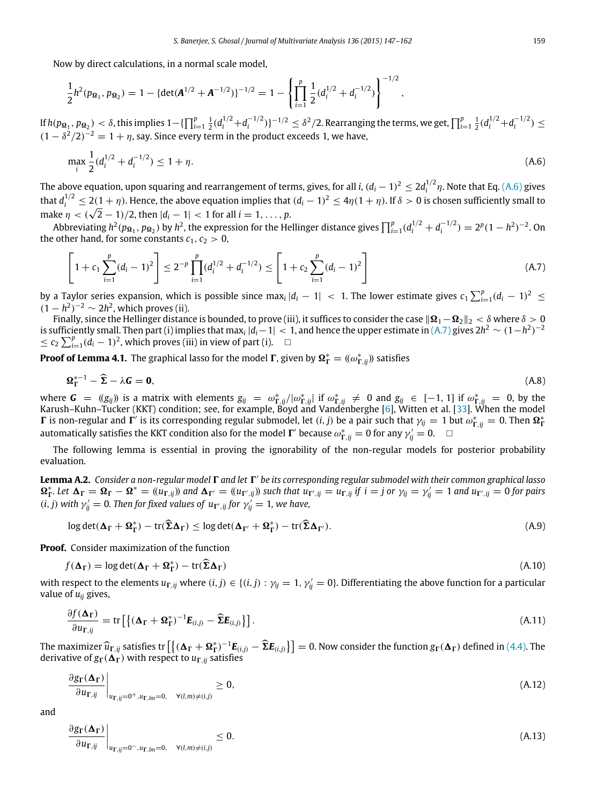Now by direct calculations, in a normal scale model,

$$
\frac{1}{2}h^2(p_{\mathbf{\Omega}_1}, p_{\mathbf{\Omega}_2}) = 1 - {\det(\mathbf{A}^{1/2} + \mathbf{A}^{-1/2})}^{-1/2} = 1 - \left\{ \prod_{i=1}^p \frac{1}{2} (d_i^{1/2} + d_i^{-1/2}) \right\}^{-1/2},
$$

If  $h(p_{\Omega_1}, p_{\Omega_2}) < \delta$ , this implies  $1 - \{\prod_{i=1}^p \frac{1}{2}(d_i^{1/2} + d_i^{-1/2})\}^{-1/2} \leq \delta^2/2$ . Rearranging the terms, we get,  $\prod_{i=1}^p \frac{1}{2}(d_i^{1/2} + d_i^{-1/2}) \leq$  $(1 - \delta^2/2)^{-2} = 1 + \eta$ , say. Since every term in the product exceeds 1, we have,

<span id="page-12-1"></span>
$$
\max_{i} \frac{1}{2} (d_i^{1/2} + d_i^{-1/2}) \le 1 + \eta. \tag{A.6}
$$

The above equation, upon squaring and rearrangement of terms, gives, for all *i*,  $(d_i - 1)^2 \le 2d_i^{1/2} \eta$ . Note that Eq. [\(A.6\)](#page-12-1) gives that  $d_i^{1/2} \le 2(1+\eta)$ . Hence, the above equation implies that  $(d_i-1)^2 \le 4\eta(1+\eta)$ . If  $\delta > 0$  is chosen sufficiently small to make  $\eta < (\sqrt{2} - 1)/2$ , then  $|d_i - 1| < 1$  for all  $i = 1, ..., p$ .

Abbreviating  $h^2(p_{\Omega_1}, p_{\Omega_2})$  by  $h^2$ , the expression for the Hellinger distance gives  $\prod_{i=1}^p (d_i^{1/2} + d_i^{-1/2}) = 2^p (1 - h^2)^{-2}$ . On the other hand, for some constants  $c_1, c_2 > 0$ ,

<span id="page-12-2"></span>
$$
\left[1 + c_1 \sum_{i=1}^p (d_i - 1)^2\right] \le 2^{-p} \prod_{i=1}^p (d_i^{1/2} + d_i^{-1/2}) \le \left[1 + c_2 \sum_{i=1}^p (d_i - 1)^2\right]
$$
\n(A.7)

by a Taylor series expansion, which is possible since  $\max_i |d_i - 1| < 1$ . The lower estimate gives  $c_1 \sum_{i=1}^p (d_i - 1)^2 \le$  $(1-h^2)^{-2} \sim 2h^2$ , which proves (ii).

Finally, since the Hellinger distance is bounded, to prove (iii), it suffices to consider the case  $\|\mathbf{\Omega}_1-\mathbf{\Omega}_2\|_2 < \delta$  where  $\delta > 0$ is sufficiently small. Then part (i) implies that max<sub>*i*</sub>  $|d_i - 1| < 1$ , and hence the upper estimate in  $(A.7)$  gives  $2h^2 \sim (1-h^2)^{-2}$  $\leq$  *c*<sub>2</sub>  $\sum_{i=1}^{p} (d_i - 1)^2$ , which proves (iii) in view of part (i). □

**Proof of Lemma 4.1.** The graphical lasso for the model  $\Gamma$ , given by  $\Omega_{\Gamma}^* = ((\omega_{\Gamma, ij}^*)$  satisfies

$$
\Omega_{\Gamma}^{*-1} - \widehat{\Sigma} - \lambda \mathbf{G} = \mathbf{0},\tag{A.8}
$$

where  $G = (g_{ij})$  is a matrix with elements  $g_{ij} = \omega_{\Gamma, ij}^* / |\omega_{\Gamma, ij}^*|$  if  $\omega_{\Gamma, ij}^* \neq 0$  and  $g_{ij} \in [-1, 1]$  if  $\omega_{\Gamma, ij}^* = 0$ , by the Karush–Kuhn–Tucker (KKT) condition; see, for example, Boyd and Vandenberghe [\[6\]](#page-14-8), W **Γ** is non-regular and **Γ**' is its corresponding regular submodel, let (*i*, *j*) be a pair such that  $γ_{ij} = 1$  but  $ω_{\Gamma, ij}^* = 0$ . Then  $Ω_{\Gamma}^*$ automatically satisfies the KKT condition also for the model  $\Gamma'$  because  $\omega_{\Gamma,ij}^* = 0$  for any  $\gamma'_{ij} = 0$ .

The following lemma is essential in proving the ignorability of the non-regular models for posterior probability evaluation.

<span id="page-12-0"></span>Lemma A.2. Consider a non-regular model  $\Gamma$  and let  $\Gamma'$  be its corresponding regular submodel with their common graphical lasso  $\Omega_{\Gamma}^*$ . Let  $\Delta_{\Gamma} = \Omega_{\Gamma} - \Omega^* = (u_{\Gamma, ij})$  and  $\Delta_{\Gamma'} = (u_{\Gamma', ij})$  such that  $u_{\Gamma', ij} = u_{\Gamma, ij}$  if  $i = j$  or  $\gamma_{ij} = \gamma'_{ij} = 1$  and  $u_{\Gamma', ij} = 0$  for pairs  $(i, j)$  with  $\gamma'_{ij} = 0$ . Then for fixed values of  $u_{\Gamma', ij}$  for  $\gamma'_{ij} = 1$ , we have,

$$
\log \det(\Delta_{\Gamma} + \Omega_{\Gamma}^*) - \text{tr}(\widehat{\Sigma}\Delta_{\Gamma}) \le \log \det(\Delta_{\Gamma'} + \Omega_{\Gamma}^*) - \text{tr}(\widehat{\Sigma}\Delta_{\Gamma'}).
$$
\n(A.9)

**Proof.** Consider maximization of the function

$$
f(\Delta_{\Gamma}) = \log \det(\Delta_{\Gamma} + \Omega_{\Gamma}^*) - \text{tr}(\widehat{\Sigma}\Delta_{\Gamma})
$$
\n(A.10)

with respect to the elements  $u_{\Gamma, ij}$  where  $(i, j) \in \{(i, j) : \gamma_{ij} = 1, \gamma'_{ij} = 0\}$ . Differentiating the above function for a particular value of  $u_{ii}$  gives,

$$
\frac{\partial f(\mathbf{\Delta}_{\Gamma})}{\partial u_{\Gamma,ij}} = \text{tr}\left[\left\{(\mathbf{\Delta}_{\Gamma} + \mathbf{\Omega}_{\Gamma}^*)^{-1}\mathbf{E}_{(i,j)} - \widehat{\mathbf{\Sigma}}\mathbf{E}_{(i,j)}\right\}\right].
$$
\n(A.11)

The maximizer  $\hat{u}_{\Gamma, ij}$  satisfies tr  $[\{(\Delta_{\Gamma} + \Omega_{\Gamma}^*)^{-1}E_{(i,j)} - \widehat{\Sigma}E_{(i,j)}\}] = 0$ . Now consider the function  $g_{\Gamma}(\Delta_{\Gamma})$  defined in [\(4.4\).](#page-5-2) The derivative of  $g_{\Gamma}(\Delta_{\Gamma})$  with respect to  $u_{\Gamma, ij}$  satisfies

$$
\left. \frac{\partial g_{\Gamma}(\Delta_{\Gamma})}{\partial u_{\Gamma,ij}} \right|_{u_{\Gamma,ij}=0^+, u_{\Gamma,lm}=0, \quad \forall (l,m)\neq (i,j)} \geq 0, \tag{A.12}
$$

and

$$
\frac{\partial g_{\Gamma}(\Delta_{\Gamma})}{\partial u_{\Gamma,ij}}\bigg|_{u_{\Gamma,ij}=0^-, u_{\Gamma,lm}=0, \quad \forall (l,m)\neq (i,j)} \leq 0.
$$
\n(A.13)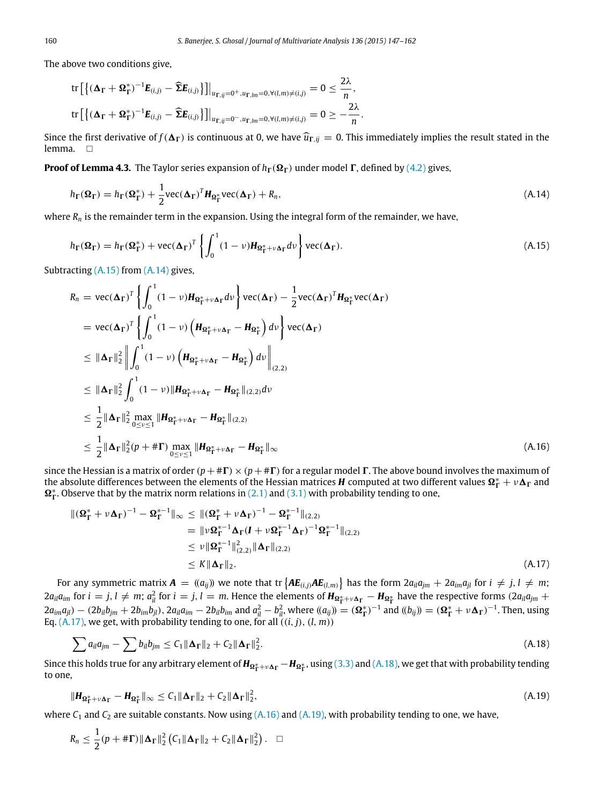The above two conditions give,

$$
\text{tr}\left[\left\{(\boldsymbol{\Delta}_{\boldsymbol{\Gamma}}+\boldsymbol{\Omega}_{\boldsymbol{\Gamma}}^*)^{-1}\boldsymbol{E}_{(i,j)}-\widehat{\boldsymbol{\Sigma}}\boldsymbol{E}_{(i,j)}\right\}\right]\right|_{u_{\boldsymbol{\Gamma},ij}=0^+,u_{\boldsymbol{\Gamma},lm}=0,\forall (l,m)\neq (i,j)}=0\leq \frac{2\lambda}{n},
$$
\n
$$
\text{tr}\left[\left\{(\boldsymbol{\Delta}_{\boldsymbol{\Gamma}}+\boldsymbol{\Omega}_{\boldsymbol{\Gamma}}^*)^{-1}\boldsymbol{E}_{(i,j)}-\widehat{\boldsymbol{\Sigma}}\boldsymbol{E}_{(i,j)}\right\}\right]\right|_{u_{\boldsymbol{\Gamma},ij}=0^-,u_{\boldsymbol{\Gamma},lm}=0,\forall (l,m)\neq (i,j)}=0\geq -\frac{2\lambda}{n}.
$$

Since the first derivative of  $f(\Delta_{\Gamma})$  is continuous at 0, we have  $\hat{u}_{\Gamma,ij} = 0$ . This immediately implies the result stated in the lemma.  $\square$ 

**Proof of Lemma 4.3.** The Taylor series expansion of  $h_\Gamma(\Omega_\Gamma)$  under model  $\Gamma$ , defined by [\(4.2\)](#page-4-5) gives,

<span id="page-13-1"></span>
$$
h_{\Gamma}(\Omega_{\Gamma}) = h_{\Gamma}(\Omega_{\Gamma}^{*}) + \frac{1}{2} \text{vec}(\Delta_{\Gamma})^{T} H_{\Omega_{\Gamma}^{*}} \text{vec}(\Delta_{\Gamma}) + R_{n}, \qquad (A.14)
$$

where  $R_n$  is the remainder term in the expansion. Using the integral form of the remainder, we have,

<span id="page-13-0"></span>
$$
h_{\Gamma}(\Omega_{\Gamma}) = h_{\Gamma}(\Omega_{\Gamma}^{*}) + \text{vec}(\Delta_{\Gamma})^{T} \left\{ \int_{0}^{1} (1 - \nu) H_{\Omega_{\Gamma}^{*} + \nu \Delta_{\Gamma}} d\nu \right\} \text{vec}(\Delta_{\Gamma}). \tag{A.15}
$$

Subtracting [\(A.15\)](#page-13-0) from [\(A.14\)](#page-13-1) gives,

$$
R_n = \text{vec}(\mathbf{\Delta}_{\Gamma})^T \left\{ \int_0^1 (1 - \nu) H_{\Omega_{\Gamma}^* + \nu \Delta_{\Gamma}} d\nu \right\} \text{vec}(\mathbf{\Delta}_{\Gamma}) - \frac{1}{2} \text{vec}(\mathbf{\Delta}_{\Gamma})^T H_{\Omega_{\Gamma}^*} \text{vec}(\mathbf{\Delta}_{\Gamma})
$$
  
\n
$$
= \text{vec}(\mathbf{\Delta}_{\Gamma})^T \left\{ \int_0^1 (1 - \nu) \left( H_{\Omega_{\Gamma}^* + \nu \Delta_{\Gamma}} - H_{\Omega_{\Gamma}^*} \right) d\nu \right\} \text{vec}(\mathbf{\Delta}_{\Gamma})
$$
  
\n
$$
\leq ||\mathbf{\Delta}_{\Gamma}||_2^2 \left\| \int_0^1 (1 - \nu) \left( H_{\Omega_{\Gamma}^* + \nu \Delta_{\Gamma}} - H_{\Omega_{\Gamma}^*} \right) d\nu \right\|_{(2,2)}
$$
  
\n
$$
\leq ||\mathbf{\Delta}_{\Gamma}||_2^2 \int_0^1 (1 - \nu) ||H_{\Omega_{\Gamma}^* + \nu \Delta_{\Gamma}} - H_{\Omega_{\Gamma}^*} ||_{(2,2)} d\nu
$$
  
\n
$$
\leq \frac{1}{2} ||\mathbf{\Delta}_{\Gamma}||_2^2 \max_{0 \leq \nu \leq 1} ||H_{\Omega_{\Gamma}^* + \nu \Delta_{\Gamma}} - H_{\Omega_{\Gamma}^*} ||_{(2,2)}
$$
  
\n
$$
\leq \frac{1}{2} ||\mathbf{\Delta}_{\Gamma}||_2^2 (p + #\Gamma) \max_{0 \leq \nu \leq 1} ||H_{\Omega_{\Gamma}^* + \nu \Delta_{\Gamma}} - H_{\Omega_{\Gamma}^*} ||_{\infty}
$$
  
\n(A.16)

since the Hessian is a matrix of order  $(p+\# \Gamma) \times (p+\# \Gamma)$  for a regular model  $\Gamma$ . The above bound involves the maximum of the absolute differences between the elements of the Hessian matrices *H* computed at two different values  $\Omega_{\Gamma}^* + v \Delta_{\Gamma}$  and  $\Omega_{\Gamma}^{*}$ . Observe that by the matrix norm relations in [\(2.1\)](#page-2-3) and [\(3.1\)](#page-2-1) with probability tending to one,

<span id="page-13-4"></span><span id="page-13-2"></span>
$$
\begin{split} \|(\boldsymbol{\Omega}_{\boldsymbol{\Gamma}}^{*} + \nu \boldsymbol{\Delta}_{\boldsymbol{\Gamma}})^{-1} - \boldsymbol{\Omega}_{\boldsymbol{\Gamma}}^{*-1} \|_{\infty} &\leq \|(\boldsymbol{\Omega}_{\boldsymbol{\Gamma}}^{*} + \nu \boldsymbol{\Delta}_{\boldsymbol{\Gamma}})^{-1} - \boldsymbol{\Omega}_{\boldsymbol{\Gamma}}^{*-1} \|_{(2,2)} \\ &= \| \nu \boldsymbol{\Omega}_{\boldsymbol{\Gamma}}^{*-1} \boldsymbol{\Delta}_{\boldsymbol{\Gamma}} (\boldsymbol{I} + \nu \boldsymbol{\Omega}_{\boldsymbol{\Gamma}}^{*-1} \boldsymbol{\Delta}_{\boldsymbol{\Gamma}})^{-1} \boldsymbol{\Omega}_{\boldsymbol{\Gamma}}^{*-1} \|_{(2,2)} \\ &\leq \nu \| \boldsymbol{\Omega}_{\boldsymbol{\Gamma}}^{*-1} \|_{(2,2)}^{2} \| \boldsymbol{\Delta}_{\boldsymbol{\Gamma}} \|_{(2,2)} \\ &\leq K \| \boldsymbol{\Delta}_{\boldsymbol{\Gamma}} \|_{2} . \end{split} \tag{A.17}
$$

For any symmetric matrix  $\bm{A}=(a_{ij})$  we note that tr  $\big\{\bm{A}\bm{E}_{(i,j)}\bm{A}\bm{E}_{(l,m)}\big\}$  has the form  $2a_{il}a_{jm}+2a_{im}a_{jl}$  for  $i\,\neq\,j,l\,\neq\,m;$  $2a_{il}a_{im}$  for  $i=j$ ,  $l \neq m$ ;  $a_{il}^2$  for  $i=j$ ,  $l=m$ . Hence the elements of  $H_{\Omega_{\Gamma}^*+\nu\Delta_{\Gamma}}-H_{\Omega_{\Gamma}^*}$  have the respective forms  $(2a_{il}a_{jm}+d_{il}a_{il}a_{jm})$  $2a_{im}a_{jl}$  –  $(2b_{il}b_{jm} + 2b_{im}b_{jl})$ ,  $2a_{il}a_{im} - 2b_{il}b_{im}$  and  $a_{il}^2 - b_{il}^2$ , where  $(a_{ij}) = (\mathbf{\Omega}_{\Gamma}^*)^{-1}$  and  $(b_{ij}) = (\mathbf{\Omega}_{\Gamma}^* + \nu \mathbf{\Delta}_{\Gamma})^{-1}$ . Then, using Eq.  $(A.17)$ , we get, with probability tending to one, for all  $((i, j), (l, m))$ 

<span id="page-13-3"></span>
$$
\sum a_{il}a_{jm} - \sum b_{il}b_{jm} \leq C_1 \|\mathbf{\Delta}_{\Gamma}\|_2 + C_2 \|\mathbf{\Delta}_{\Gamma}\|_2^2.
$$
\n(A.18)

Since this holds true for any arbitrary element of  $H_{\Omega^*_{\Gamma}+\nu\Delta_{\Gamma}}-H_{\Omega^*_{\Gamma}}$ , using [\(3.3\)](#page-2-4) and [\(A.18\),](#page-13-3) we get that with probability tending to one,

<span id="page-13-5"></span>
$$
\|\boldsymbol{H}_{\boldsymbol{\Omega}_{\Gamma}^* + \nu \boldsymbol{\Delta}_{\Gamma}} - \boldsymbol{H}_{\boldsymbol{\Omega}_{\Gamma}^*}\|_{\infty} \le C_1 \|\boldsymbol{\Delta}_{\Gamma}\|_2 + C_2 \|\boldsymbol{\Delta}_{\Gamma}\|_2^2, \tag{A.19}
$$

where  $C_1$  and  $C_2$  are suitable constants. Now using  $(A.16)$  and  $(A.19)$ , with probability tending to one, we have,

$$
R_n \leq \frac{1}{2}(p + \#\Gamma) \|\mathbf{\Delta}_{\Gamma}\|_2^2 \left(C_1 \|\mathbf{\Delta}_{\Gamma}\|_2 + C_2 \|\mathbf{\Delta}_{\Gamma}\|_2^2\right). \quad \Box
$$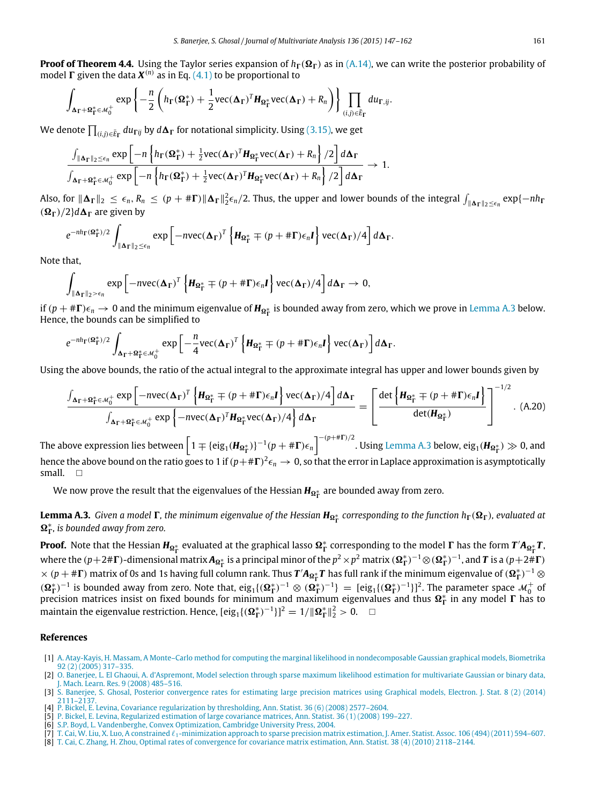**Proof of Theorem 4.4.** Using the Taylor series expansion of  $h_\Gamma(\Omega_\Gamma)$  as in [\(A.14\),](#page-13-1) we can write the posterior probability of model  $\Gamma$  given the data  $X^{(n)}$  as in Eq. [\(4.1\)](#page-4-3) to be proportional to

$$
\int_{\Delta_{\Gamma}+\Omega_{\Gamma}^*\in\mathcal{M}_0^+}\exp\left\{-\frac{n}{2}\left(h_{\Gamma}(\Omega_{\Gamma}^*)+\frac{1}{2}\text{vec}(\Delta_{\Gamma})^T H_{\Omega_{\Gamma}^*}\text{vec}(\Delta_{\Gamma})+R_n\right)\right\}\prod_{(i,j)\in\bar{E}_{\Gamma}}du_{\Gamma,ij}.
$$

We denote  $\prod_{(i,j)\in\bar{E}_{\Gamma}}du_{\Gamma ij}$  by  $d\mathbf{\Delta}_{\Gamma}$  for notational simplicity. Using [\(3.15\),](#page-4-4) we get

$$
\frac{\int_{\|\mathbf{\Delta}_{\Gamma}\|_2 \leq \epsilon_n} \exp\left[-n\left\{h_{\Gamma}(\mathbf{\Omega}_{\Gamma}^*) + \frac{1}{2}vec(\mathbf{\Delta}_{\Gamma})^T \mathbf{H}_{\mathbf{\Omega}_{\Gamma}^*}vec(\mathbf{\Delta}_{\Gamma}) + R_n\right\}/2\right] d\mathbf{\Delta}_{\Gamma}}{\int_{\mathbf{\Delta}_{\Gamma} + \mathbf{\Omega}_{\Gamma}^* \in \mathcal{M}_0^+} \exp\left[-n\left\{h_{\Gamma}(\mathbf{\Omega}_{\Gamma}^*) + \frac{1}{2}vec(\mathbf{\Delta}_{\Gamma})^T \mathbf{H}_{\mathbf{\Omega}_{\Gamma}^*}vec(\mathbf{\Delta}_{\Gamma}) + R_n\right\}/2\right] d\mathbf{\Delta}_{\Gamma}} \to 1.
$$

Also, for  $\|\mathbf{\Delta}_{\mathbf{\Gamma}}\|_2 \leq \epsilon_n$ ,  $R_n \leq (p + \#\mathbf{\Gamma}) \|\mathbf{\Delta}_{\mathbf{\Gamma}}\|_2^2 \epsilon_n/2$ . Thus, the upper and lower bounds of the integral  $\int_{\|\mathbf{\Delta}_{\mathbf{\Gamma}}\|_2 \leq \epsilon_n} \exp\{-nh_\mathbf{\Gamma}\|_2^2\}$  $(\Omega_{\Gamma})/2$ *d* $\Delta_{\Gamma}$  are given by

$$
e^{-nh_{\Gamma}(\Omega_{\Gamma}^*)/2}\int_{\|\Delta_{\Gamma}\|_2\leq\epsilon_n}\exp\left[-n\nu ec(\Delta_{\Gamma})^T\left\{H_{\Omega_{\Gamma}^*}\mp(p+\# \Gamma)\epsilon_n I\right\}\nu ec(\Delta_{\Gamma})/4\right]d\Delta_{\Gamma}.
$$

Note that,

$$
\int_{\|\mathbf{\Delta}_{\Gamma}\|_2 > \epsilon_n} \exp \left[ -n \text{vec}(\mathbf{\Delta}_{\Gamma})^T \left\{ \boldsymbol{H}_{\Omega_{\Gamma}^*} + (p + \# \Gamma) \epsilon_n \boldsymbol{I} \right\} \text{vec}(\mathbf{\Delta}_{\Gamma}) / 4 \right] d \mathbf{\Delta}_{\Gamma} \to 0,
$$

if  $(p + ∄**Γ**) ∈<sub>n</sub> → 0$  and the minimum eigenvalue of  $H_{\Omega^*_{\Gamma}}$  is bounded away from zero, which we prove in [Lemma A.3](#page-14-7) below. Hence, the bounds can be simplified to

$$
e^{-nh_{\Gamma}(\Omega_{\Gamma}^*)/2}\int_{\Delta_{\Gamma}+\Omega_{\Gamma}^*\in\mathcal{M}_{0}^+}\exp\left[-\frac{n}{4}\text{vec}(\Delta_{\Gamma})^T\left\{H_{\Omega_{\Gamma}^*}\mp(p+\# \Gamma)\epsilon_nI\right\}\text{vec}(\Delta_{\Gamma})\right]d\Delta_{\Gamma}.
$$

Using the above bounds, the ratio of the actual integral to the approximate integral has upper and lower bounds given by

$$
\frac{\int_{\Delta_{\Gamma}+\Omega_{\Gamma}^{*}\in\mathcal{M}_{0}^{+}} \exp\left[-n\text{vec}(\Delta_{\Gamma})^{T}\left\{\mathbf{H}_{\Omega_{\Gamma}^{*}}\mp(p+\# \Gamma)\epsilon_{n}\mathbf{I}\right\}\text{vec}(\Delta_{\Gamma})/4\right]d\Delta_{\Gamma}}{\int_{\Delta_{\Gamma}+\Omega_{\Gamma}^{*}\in\mathcal{M}_{0}^{+}} \exp\left\{-n\text{vec}(\Delta_{\Gamma})^{T}\mathbf{H}_{\Omega_{\Gamma}^{*}}\text{vec}(\Delta_{\Gamma})/4\right\}d\Delta_{\Gamma}} = \left[\frac{\det\left\{\mathbf{H}_{\Omega_{\Gamma}^{*}}\mp(p+\# \Gamma)\epsilon_{n}\mathbf{I}\right\}}{\det(\mathbf{H}_{\Omega_{\Gamma}^{*}})}\right]^{-1/2}.\tag{A.20}
$$

The above expression lies between  $\left[1\mp\{\rm eig_1(\pmb{H_{\Omega_\Gamma^*}})\}^{-1}(p+\# \pmb{\Gamma})\epsilon_n\right]^{-(p+\# \pmb{\Gamma})/2}.$  Using [Lemma A.3](#page-14-7) below, eig<sub>1</sub>( $\pmb{H_{\Omega_\Gamma^*}})\gg0$ , and hence the above bound on the ratio goes to 1 if  $(p+\# \Gamma)^2 \epsilon_n \to 0$ , so that the error in Laplace approximation is asymptotically small.  $\Box$ 

<span id="page-14-7"></span>We now prove the result that the eigenvalues of the Hessian **H<sub>ΩŤ</sub> are bounded away from zero.** 

Lemma A.3. *Given a model*  $\Gamma$ *, the minimum eigenvalue of the Hessian*  $H_{\Omega^*_\Gamma}$  *corresponding to the function*  $h_\Gamma(\Omega_\Gamma)$ *, evaluated at*  $Ω<sup>∗</sup><sub>Γ</sub>$ , is bounded away from zero.

**Proof.** Note that the Hessian  $H_{\Omega_\Gamma^*}$  evaluated at the graphical lasso  $\Omega_\Gamma^*$  corresponding to the model  $\Gamma$  has the form  $T'A_{\Omega_\Gamma^*}T$ , where the ( $p+2\#\Gamma$ )-dimensional matrix  $A_{\Omega_\Gamma^*}$  is a principal minor of the  $p^2\times p^2$  matrix  $({\Omega_\Gamma^*})^{-1}\otimes({\Omega_\Gamma^*})^{-1}$ , and  $T$  is a ( $p+2\#\Gamma$ )  $\times$  ( $p$  + #**F**) matrix of 0s and 1s having full column rank. Thus  $T'A_{\Omega^*_\Gamma}T$  has full rank if the minimum eigenvalue of ( $\Omega^*_\Gamma)^{-1}\otimes$  $(\Omega_{\Gamma}^*)^{-1}$  is bounded away from zero. Note that,  $\text{eig}_1\{(\Omega_{\Gamma}^*)^{-1} \otimes (\Omega_{\Gamma}^*)^{-1}\} = [\text{eig}_1\{(\Omega_{\Gamma}^*)^{-1}\}]^2$ . The parameter space  $\mathcal{M}_0^+$  of precision matrices insist on fixed bounds for minimum and maximum eigen maintain the eigenvalue restriction. Hence,  $[eig_1\{(\mathbf{\Omega}_{\Gamma}^*)^{-1}\}]^2 = 1/||\mathbf{\Omega}_{\Gamma}^*||_2^2 > 0$ .  $\Box$ 

#### **References**

<span id="page-14-6"></span>[1] A. [Atay-Kayis, H. Massam, A Monte–Carlo method for computing the marginal likelihood in nondecomposable Gaussian graphical models, Biometrika](http://refhub.elsevier.com/S0047-259X(15)00020-2/sbref1) 92 (2) (2005) 317–335.

- <span id="page-14-1"></span><span id="page-14-0"></span>[4] P. [Bickel, E. Levina, Covariance regularization by thresholding, Ann. Statist. 36 \(6\) \(2008\) 2577–2604.](http://refhub.elsevier.com/S0047-259X(15)00020-2/sbref4) [5] P. [Bickel, E. Levina, Regularized estimation of large covariance matrices, Ann. Statist. 36 \(1\) \(2008\) 199–227.](http://refhub.elsevier.com/S0047-259X(15)00020-2/sbref5)
- <span id="page-14-8"></span>
- [6] S.P. [Boyd, L. Vandenberghe, Convex Optimization, Cambridge University Press, 2004.](http://refhub.elsevier.com/S0047-259X(15)00020-2/sbref6)
- <span id="page-14-3"></span>[7] T. Cai, W. Liu, X. Luo, A constrained ℓ1[-minimization approach to sparse precision matrix estimation, J. Amer. Statist. Assoc. 106 \(494\) \(2011\) 594–607.](http://refhub.elsevier.com/S0047-259X(15)00020-2/sbref7) [8] T. C[ai, C. Zhang, H. Zhou, Optimal rates of convergence for covariance matrix estimation, Ann. Statist. 38 \(4\) \(2010\) 2118–2144.](http://refhub.elsevier.com/S0047-259X(15)00020-2/sbref8)
- <span id="page-14-2"></span>

<span id="page-14-5"></span><sup>[2]</sup> O. [Banerjee, L. El Ghaoui, A. d'Aspremont, Model selection through sparse maximum likelihood estimation for multivariate Gaussian or binary data,](http://refhub.elsevier.com/S0047-259X(15)00020-2/sbref2) J. Mach. Learn. Res. 9 (2008) 485–516.

<span id="page-14-4"></span><sup>[3]</sup> S. [Banerjee, S. Ghosal, Posterior convergence rates for estimating large precision matrices using Graphical models, Electron. J. Stat. 8 \(2\) \(2014\)](http://refhub.elsevier.com/S0047-259X(15)00020-2/sbref3) 2111–2137.